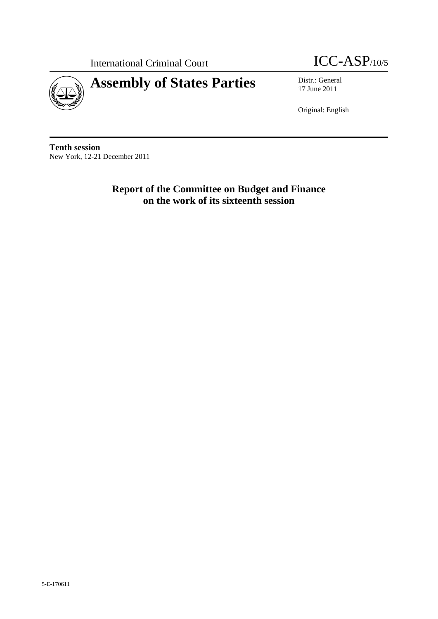

International Criminal Court **ICC-ASP**/10/5

17 June 2011

Original: English

**Tenth session**  New York, 12-21 December 2011

> **Report of the Committee on Budget and Finance on the work of its sixteenth session**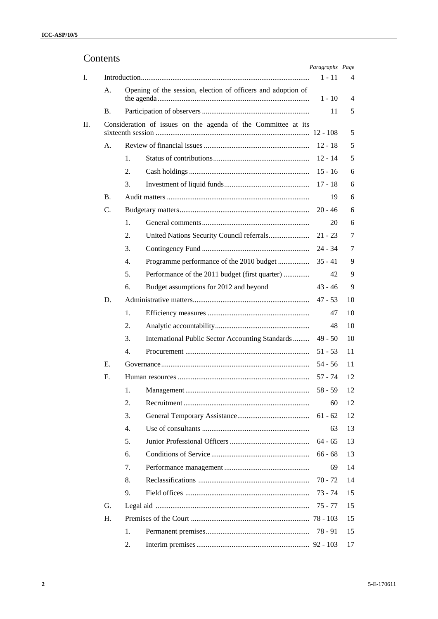# Contents

|         |           |    |                                                               | Paragraphs Page |    |
|---------|-----------|----|---------------------------------------------------------------|-----------------|----|
| Ι.      |           |    |                                                               | $1 - 11$        | 4  |
|         | А.        |    | Opening of the session, election of officers and adoption of  |                 |    |
|         |           |    |                                                               | 1 - 10          | 4  |
|         | <b>B.</b> |    |                                                               | 11              | 5  |
| $\Pi$ . |           |    | Consideration of issues on the agenda of the Committee at its | $12 - 108$      | 5  |
|         | А.        |    |                                                               | $12 - 18$       | 5  |
|         |           | 1. |                                                               | $12 - 14$       | 5  |
|         |           | 2. |                                                               | $15 - 16$       | 6  |
|         |           | 3. |                                                               | $17 - 18$       | 6  |
|         | <b>B.</b> |    |                                                               | 19              | 6  |
|         | C.        |    |                                                               | $20 - 46$       | 6  |
|         |           | 1. |                                                               | 20              | 6  |
|         |           | 2. |                                                               | $21 - 23$       | 7  |
|         |           | 3. |                                                               | $24 - 34$       | 7  |
|         |           | 4. | Programme performance of the 2010 budget                      | $35 - 41$       | 9  |
|         |           | 5. | Performance of the 2011 budget (first quarter)                | 42              | 9  |
|         |           | 6. | Budget assumptions for 2012 and beyond                        | 43 - 46         | 9  |
|         | D.        |    |                                                               | 47 - 53         | 10 |
|         |           | 1. |                                                               | 47              | 10 |
|         |           | 2. |                                                               | 48              | 10 |
|         |           | 3. | International Public Sector Accounting Standards              | $49 - 50$       | 10 |
|         |           | 4. |                                                               | $51 - 53$       | 11 |
|         | Е.        |    |                                                               | 54 - 56         | 11 |
|         | F.        |    |                                                               | 57 - 74         | 12 |
|         |           | 1. |                                                               | $58 - 59$       | 12 |
|         |           | 2. |                                                               | 60              | 12 |
|         |           | 3. |                                                               | $61 - 62$       | 12 |
|         |           | 4. |                                                               | 63              | 13 |
|         |           | 5. |                                                               | $64 - 65$       | 13 |
|         |           | 6. |                                                               | $66 - 68$       | 13 |
|         |           | 7. |                                                               | 69              | 14 |
|         |           | 8. |                                                               | $70 - 72$       | 14 |
|         |           | 9. |                                                               | 73 - 74         | 15 |
|         | G.        |    |                                                               | 75 - 77         | 15 |
|         | H.        |    |                                                               |                 | 15 |
|         |           | 1. |                                                               | 78 - 91         | 15 |
|         |           | 2. |                                                               |                 | 17 |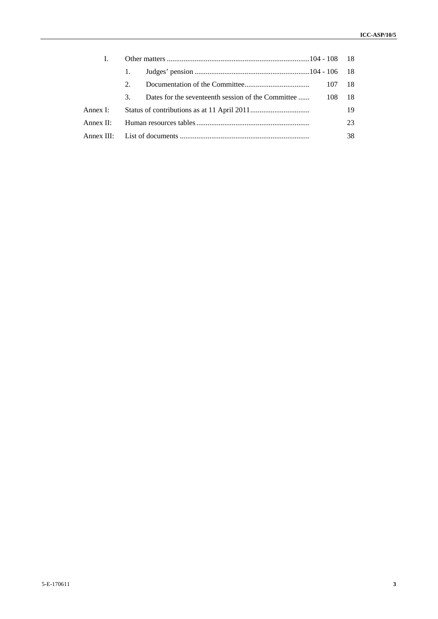|           | $2^{\circ}$ |                                                            |    |
|-----------|-------------|------------------------------------------------------------|----|
|           | $3_{-}$     | Dates for the seventeenth session of the Committee  108 18 |    |
| Annex I:  |             |                                                            | 19 |
| Annex II: |             |                                                            | 23 |
|           |             |                                                            | 38 |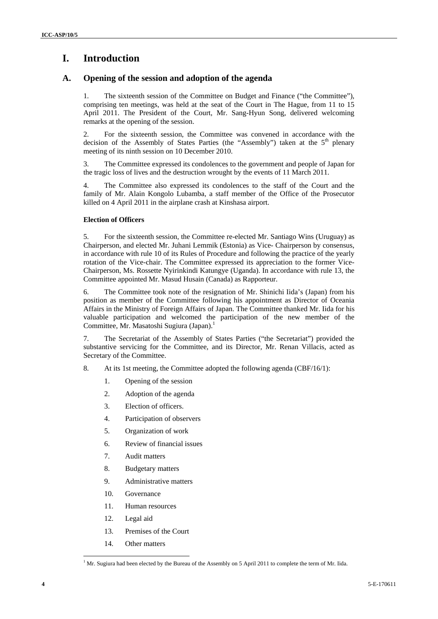# **I. Introduction**

# **A. Opening of the session and adoption of the agenda**

1. The sixteenth session of the Committee on Budget and Finance ("the Committee"), comprising ten meetings, was held at the seat of the Court in The Hague, from 11 to 15 April 2011. The President of the Court, Mr. Sang-Hyun Song, delivered welcoming remarks at the opening of the session.

2. For the sixteenth session, the Committee was convened in accordance with the decision of the Assembly of States Parties (the "Assembly") taken at the  $5<sup>th</sup>$  plenary meeting of its ninth session on 10 December 2010.

3. The Committee expressed its condolences to the government and people of Japan for the tragic loss of lives and the destruction wrought by the events of 11 March 2011.

4. The Committee also expressed its condolences to the staff of the Court and the family of Mr. Alain Kongolo Lubamba, a staff member of the Office of the Prosecutor killed on 4 April 2011 in the airplane crash at Kinshasa airport.

## **Election of Officers**

5. For the sixteenth session, the Committee re-elected Mr. Santiago Wins (Uruguay) as Chairperson, and elected Mr. Juhani Lemmik (Estonia) as Vice- Chairperson by consensus, in accordance with rule 10 of its Rules of Procedure and following the practice of the yearly rotation of the Vice-chair. The Committee expressed its appreciation to the former Vice-Chairperson, Ms. Rossette Nyirinkindi Katungye (Uganda). In accordance with rule 13, the Committee appointed Mr. Masud Husain (Canada) as Rapporteur.

6. The Committee took note of the resignation of Mr. Shinichi Iida's (Japan) from his position as member of the Committee following his appointment as Director of Oceania Affairs in the Ministry of Foreign Affairs of Japan. The Committee thanked Mr. Iida for his valuable participation and welcomed the participation of the new member of the Committee, Mr. Masatoshi Sugiura (Japan).1

7. The Secretariat of the Assembly of States Parties ("the Secretariat") provided the substantive servicing for the Committee, and its Director*,* Mr. Renan Villacis, acted as Secretary of the Committee.

- 8. At its 1st meeting, the Committee adopted the following agenda (CBF/16/1):
	- 1. Opening of the session
	- 2. Adoption of the agenda
	- 3. Election of officers.
	- 4. Participation of observers
	- 5. Organization of work
	- 6. Review of financial issues
	- 7. Audit matters
	- 8. Budgetary matters
	- 9. Administrative matters
	- 10. Governance
	- 11. Human resources
	- 12. Legal aid
	- 13. Premises of the Court
	- 14. Other matters

<sup>&</sup>lt;sup>1</sup> Mr. Sugiura had been elected by the Bureau of the Assembly on 5 April 2011 to complete the term of Mr. Iida.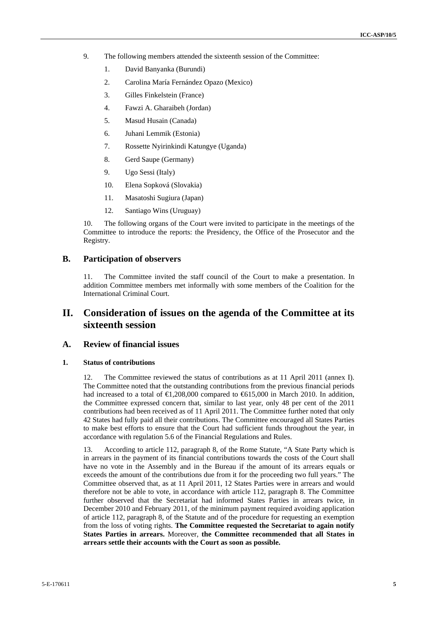- 9. The following members attended the sixteenth session of the Committee:
	- 1. David Banyanka (Burundi)
	- 2. Carolina María Fernández Opazo (Mexico)
	- 3. Gilles Finkelstein (France)
	- 4. Fawzi A. Gharaibeh (Jordan)
	- 5. Masud Husain (Canada)
	- 6. Juhani Lemmik (Estonia)
	- 7. Rossette Nyirinkindi Katungye (Uganda)
	- 8. Gerd Saupe (Germany)
	- 9. Ugo Sessi (Italy)
	- 10. Elena Sopková (Slovakia)
	- 11. Masatoshi Sugiura (Japan)
	- 12. Santiago Wins (Uruguay)

10. The following organs of the Court were invited to participate in the meetings of the Committee to introduce the reports: the Presidency, the Office of the Prosecutor and the Registry.

# **B. Participation of observers**

11. The Committee invited the staff council of the Court to make a presentation. In addition Committee members met informally with some members of the Coalition for the International Criminal Court.

# **II. Consideration of issues on the agenda of the Committee at its sixteenth session**

## **A. Review of financial issues**

### **1. Status of contributions**

12. The Committee reviewed the status of contributions as at 11 April 2011 (annex I). The Committee noted that the outstanding contributions from the previous financial periods had increased to a total of  $\text{ } \infty$ ,208,000 compared to  $\text{ } \infty$  15,000 in March 2010. In addition, the Committee expressed concern that, similar to last year, only 48 per cent of the 2011 contributions had been received as of 11 April 2011. The Committee further noted that only 42 States had fully paid all their contributions. The Committee encouraged all States Parties to make best efforts to ensure that the Court had sufficient funds throughout the year, in accordance with regulation 5.6 of the Financial Regulations and Rules.

13. According to article 112, paragraph 8, of the Rome Statute, "A State Party which is in arrears in the payment of its financial contributions towards the costs of the Court shall have no vote in the Assembly and in the Bureau if the amount of its arrears equals or exceeds the amount of the contributions due from it for the proceeding two full years." The Committee observed that, as at 11 April 2011, 12 States Parties were in arrears and would therefore not be able to vote, in accordance with article 112, paragraph 8. The Committee further observed that the Secretariat had informed States Parties in arrears twice, in December 2010 and February 2011, of the minimum payment required avoiding application of article 112, paragraph 8, of the Statute and of the procedure for requesting an exemption from the loss of voting rights. **The Committee requested the Secretariat to again notify States Parties in arrears.** Moreover, **the Committee recommended that all States in arrears settle their accounts with the Court as soon as possible.**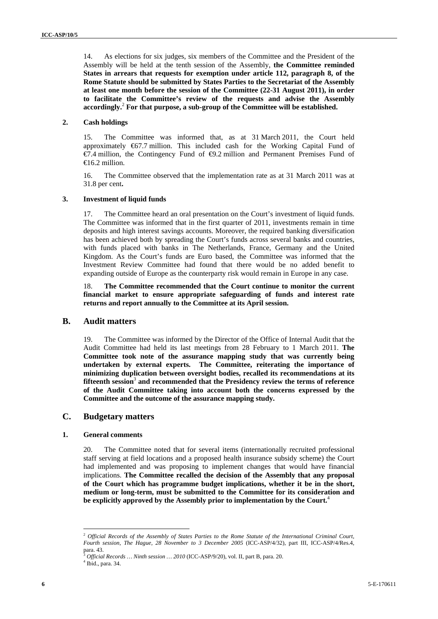14. As elections for six judges, six members of the Committee and the President of the Assembly will be held at the tenth session of the Assembly, **the Committee reminded States in arrears that requests for exemption under article 112, paragraph 8, of the Rome Statute should be submitted by States Parties to the Secretariat of the Assembly at least one month before the session of the Committee (22-31 August 2011), in order to facilitate the Committee's review of the requests and advise the Assembly accordingly.**<sup>2</sup>  **For that purpose, a sub-group of the Committee will be established.**

#### **2. Cash holdings**

15. The Committee was informed that, as at 31 March 2011, the Court held approximately €67.7 million. This included cash for the Working Capital Fund of €7.4 million, the Contingency Fund of €9.2 million and Permanent Premises Fund of  $\bigoplus$  6.2 million.

16. The Committee observed that the implementation rate as at 31 March 2011 was at 31.8 per cent**.**

#### **3. Investment of liquid funds**

17. The Committee heard an oral presentation on the Court's investment of liquid funds. The Committee was informed that in the first quarter of 2011, investments remain in time deposits and high interest savings accounts. Moreover, the required banking diversification has been achieved both by spreading the Court's funds across several banks and countries, with funds placed with banks in The Netherlands, France, Germany and the United Kingdom. As the Court's funds are Euro based, the Committee was informed that the Investment Review Committee had found that there would be no added benefit to expanding outside of Europe as the counterparty risk would remain in Europe in any case.

18. **The Committee recommended that the Court continue to monitor the current financial market to ensure appropriate safeguarding of funds and interest rate returns and report annually to the Committee at its April session.** 

## **B. Audit matters**

19. The Committee was informed by the Director of the Office of Internal Audit that the Audit Committee had held its last meetings from 28 February to 1 March 2011. **The Committee took note of the assurance mapping study that was currently being undertaken by external experts. The Committee, reiterating the importance of minimizing duplication between oversight bodies, recalled its recommendations at its fifteenth session**<sup>3</sup>  **and recommended that the Presidency review the terms of reference of the Audit Committee taking into account both the concerns expressed by the Committee and the outcome of the assurance mapping study.** 

# **C. Budgetary matters**

#### **1. General comments**

20. The Committee noted that for several items (internationally recruited professional staff serving at field locations and a proposed health insurance subsidy scheme) the Court had implemented and was proposing to implement changes that would have financial implications. **The Committee recalled the decision of the Assembly that any proposal of the Court which has programme budget implications, whether it be in the short, medium or long-term, must be submitted to the Committee for its consideration and be explicitly approved by the Assembly prior to implementation by the Court.**<sup>4</sup>

<sup>2</sup> *Official Records of the Assembly of States Parties to the Rome Statute of the International Criminal Court, Fourth session, The Hague, 28 November to 3 December 2005* (ICC-ASP/4/32), part III, ICC-ASP/4/Res.4, para. 43.

<sup>3</sup> *Official Records … Ninth session … 2010* (ICC-ASP/9/20), vol. II, part B, para. 20.

<sup>4</sup> Ibid., para. 34.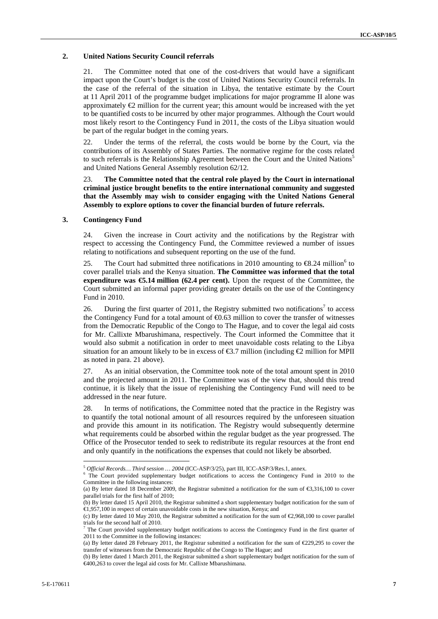#### **2. United Nations Security Council referrals**

21. The Committee noted that one of the cost-drivers that would have a significant impact upon the Court's budget is the cost of United Nations Security Council referrals. In the case of the referral of the situation in Libya, the tentative estimate by the Court at 11 April 2011 of the programme budget implications for major programme II alone was approximately  $\mathcal Q$  million for the current year; this amount would be increased with the yet to be quantified costs to be incurred by other major programmes. Although the Court would most likely resort to the Contingency Fund in 2011, the costs of the Libya situation would be part of the regular budget in the coming years.

22. Under the terms of the referral, the costs would be borne by the Court, via the contributions of its Assembly of States Parties. The normative regime for the costs related to such referrals is the Relationship Agreement between the Court and the United Nations<sup>5</sup> and United Nations General Assembly resolution 62/12.

23. **The Committee noted that the central role played by the Court in international criminal justice brought benefits to the entire international community and suggested that the Assembly may wish to consider engaging with the United Nations General Assembly to explore options to cover the financial burden of future referrals.** 

#### **3. Contingency Fund**

24. Given the increase in Court activity and the notifications by the Registrar with respect to accessing the Contingency Fund, the Committee reviewed a number of issues relating to notifications and subsequent reporting on the use of the fund.

25. The Court had submitted three notifications in 2010 amounting to  $\epsilon$ 8.24 million<sup>6</sup> to cover parallel trials and the Kenya situation. **The Committee was informed that the total expenditure was €5.14 million (62.4 per cent).** Upon the request of the Committee, the Court submitted an informal paper providing greater details on the use of the Contingency Fund in 2010.

26. During the first quarter of 2011, the Registry submitted two notifications<sup>7</sup> to access the Contingency Fund for a total amount of  $\epsilon$ 0.63 million to cover the transfer of witnesses from the Democratic Republic of the Congo to The Hague, and to cover the legal aid costs for Mr. Callixte Mbarushimana, respectively. The Court informed the Committee that it would also submit a notification in order to meet unavoidable costs relating to the Libya situation for an amount likely to be in excess of  $\epsilon$ 3.7 million (including  $\epsilon$  million for MPII as noted in para. 21 above).

27. As an initial observation, the Committee took note of the total amount spent in 2010 and the projected amount in 2011. The Committee was of the view that, should this trend continue, it is likely that the issue of replenishing the Contingency Fund will need to be addressed in the near future.

28. In terms of notifications, the Committee noted that the practice in the Registry was to quantify the total notional amount of all resources required by the unforeseen situation and provide this amount in its notification. The Registry would subsequently determine what requirements could be absorbed within the regular budget as the year progressed. The Office of the Prosecutor tended to seek to redistribute its regular resources at the front end and only quantify in the notifications the expenses that could not likely be absorbed.

<sup>5</sup> *Official Records… Third session … 2004* (ICC-ASP/3/25), part III, ICC-ASP/3/Res.1, annex. 6

 $6$  The Court provided supplementary budget notifications to access the Contingency Fund in 2010 to the Committee in the following instances:

<sup>(</sup>a) By letter dated 18 December 2009, the Registrar submitted a notification for the sum of €3,316,100 to cover parallel trials for the first half of 2010;

<sup>(</sup>b) By letter dated 15 April 2010, the Registrar submitted a short supplementary budget notification for the sum of €1,957,100 in respect of certain unavoidable costs in the new situation, Kenya; and

<sup>(</sup>c) By letter dated 10 May 2010, the Registrar submitted a notification for the sum of €2,968,100 to cover parallel trials for the second half of 2010.

 $<sup>7</sup>$  The Court provided supplementary budget notifications to access the Contingency Fund in the first quarter of</sup> 2011 to the Committee in the following instances:

<sup>(</sup>a) By letter dated 28 February 2011, the Registrar submitted a notification for the sum of €229,295 to cover the transfer of witnesses from the Democratic Republic of the Congo to The Hague; and

<sup>(</sup>b) By letter dated 1 March 2011, the Registrar submitted a short supplementary budget notification for the sum of €400,263 to cover the legal aid costs for Mr. Callixte Mbarushimana.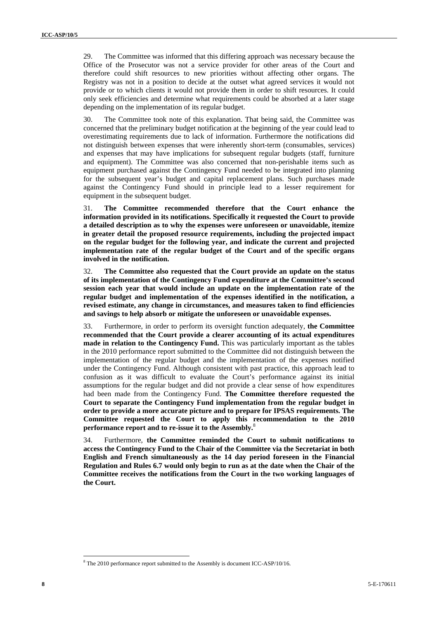29. The Committee was informed that this differing approach was necessary because the Office of the Prosecutor was not a service provider for other areas of the Court and therefore could shift resources to new priorities without affecting other organs. The Registry was not in a position to decide at the outset what agreed services it would not provide or to which clients it would not provide them in order to shift resources. It could only seek efficiencies and determine what requirements could be absorbed at a later stage depending on the implementation of its regular budget.

30. The Committee took note of this explanation. That being said, the Committee was concerned that the preliminary budget notification at the beginning of the year could lead to overestimating requirements due to lack of information. Furthermore the notifications did not distinguish between expenses that were inherently short-term (consumables, services) and expenses that may have implications for subsequent regular budgets (staff, furniture and equipment). The Committee was also concerned that non-perishable items such as equipment purchased against the Contingency Fund needed to be integrated into planning for the subsequent year's budget and capital replacement plans. Such purchases made against the Contingency Fund should in principle lead to a lesser requirement for equipment in the subsequent budget.

31. **The Committee recommended therefore that the Court enhance the information provided in its notifications. Specifically it requested the Court to provide a detailed description as to why the expenses were unforeseen or unavoidable, itemize in greater detail the proposed resource requirements, including the projected impact on the regular budget for the following year, and indicate the current and projected implementation rate of the regular budget of the Court and of the specific organs involved in the notification.** 

32. **The Committee also requested that the Court provide an update on the status of its implementation of the Contingency Fund expenditure at the Committee's second session each year that would include an update on the implementation rate of the regular budget and implementation of the expenses identified in the notification, a revised estimate, any change in circumstances, and measures taken to find efficiencies and savings to help absorb or mitigate the unforeseen or unavoidable expenses.** 

33. Furthermore, in order to perform its oversight function adequately, **the Committee recommended that the Court provide a clearer accounting of its actual expenditures made in relation to the Contingency Fund.** This was particularly important as the tables in the 2010 performance report submitted to the Committee did not distinguish between the implementation of the regular budget and the implementation of the expenses notified under the Contingency Fund. Although consistent with past practice, this approach lead to confusion as it was difficult to evaluate the Court's performance against its initial assumptions for the regular budget and did not provide a clear sense of how expenditures had been made from the Contingency Fund. **The Committee therefore requested the Court to separate the Contingency Fund implementation from the regular budget in order to provide a more accurate picture and to prepare for IPSAS requirements. The Committee requested the Court to apply this recommendation to the 2010 performance report and to re-issue it to the Assembly.**<sup>8</sup>

34. Furthermore, **the Committee reminded the Court to submit notifications to access the Contingency Fund to the Chair of the Committee via the Secretariat in both English and French simultaneously as the 14 day period foreseen in the Financial Regulation and Rules 6.7 would only begin to run as at the date when the Chair of the Committee receives the notifications from the Court in the two working languages of the Court.** 

<sup>&</sup>lt;sup>8</sup> The 2010 performance report submitted to the Assembly is document ICC-ASP/10/16.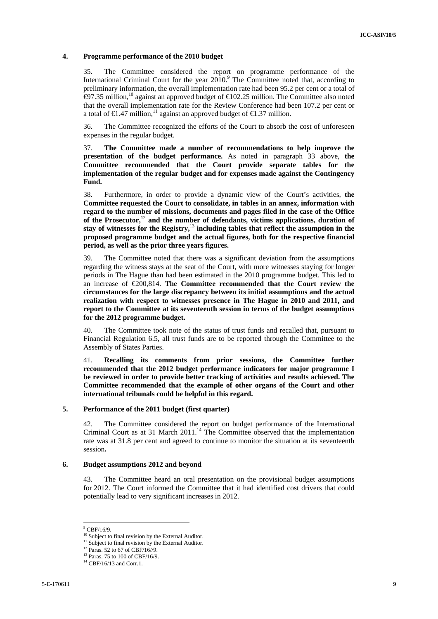#### **4. Programme performance of the 2010 budget**

35. The Committee considered the report on programme performance of the International Criminal Court for the year 2010.<sup>9</sup> The Committee noted that, according to preliminary information, the overall implementation rate had been 95.2 per cent or a total of  $\bigoplus$ 7.35 million,<sup>10</sup> against an approved budget of  $\bigoplus$ 02.25 million. The Committee also noted that the overall implementation rate for the Review Conference had been 107.2 per cent or a total of  $\in$ 1.47 million,<sup>11</sup> against an approved budget of  $\in$ 1.37 million.

36. The Committee recognized the efforts of the Court to absorb the cost of unforeseen expenses in the regular budget.

37. **The Committee made a number of recommendations to help improve the presentation of the budget performance.** As noted in paragraph 33 above, **the Committee recommended that the Court provide separate tables for the implementation of the regular budget and for expenses made against the Contingency Fund.** 

38. Furthermore, in order to provide a dynamic view of the Court's activities, **the Committee requested the Court to consolidate, in tables in an annex, information with regard to the number of missions, documents and pages filed in the case of the Office of the Prosecutor,**<sup>12</sup> **and the number of defendants, victims applications, duration of stay of witnesses for the Registry,**<sup>13</sup> **including tables that reflect the assumption in the proposed programme budget and the actual figures, both for the respective financial period, as well as the prior three years figures.**

39. The Committee noted that there was a significant deviation from the assumptions regarding the witness stays at the seat of the Court, with more witnesses staying for longer periods in The Hague than had been estimated in the 2010 programme budget. This led to an increase of €200,814. **The Committee recommended that the Court review the circumstances for the large discrepancy between its initial assumptions and the actual realization with respect to witnesses presence in The Hague in 2010 and 2011, and report to the Committee at its seventeenth session in terms of the budget assumptions for the 2012 programme budget.**

40. The Committee took note of the status of trust funds and recalled that, pursuant to Financial Regulation 6.5, all trust funds are to be reported through the Committee to the Assembly of States Parties.

41. **Recalling its comments from prior sessions, the Committee further recommended that the 2012 budget performance indicators for major programme I be reviewed in order to provide better tracking of activities and results achieved. The Committee recommended that the example of other organs of the Court and other international tribunals could be helpful in this regard.** 

### **5. Performance of the 2011 budget (first quarter)**

42. The Committee considered the report on budget performance of the International Criminal Court as at 31 March  $2011$ .<sup>14</sup> The Committee observed that the implementation rate was at 31.8 per cent and agreed to continue to monitor the situation at its seventeenth session**.**

#### **6. Budget assumptions 2012 and beyond**

43. The Committee heard an oral presentation on the provisional budget assumptions for 2012. The Court informed the Committee that it had identified cost drivers that could potentially lead to very significant increases in 2012.

 $^9$  CBF/16/9.

<sup>&</sup>lt;sup>10</sup> Subject to final revision by the External Auditor.

 $11$  Subject to final revision by the External Auditor.

<sup>&</sup>lt;sup>12</sup> Paras. 52 to 67 of CBF/16//9.

<sup>13</sup> Paras. 75 to 100 of CBF/16/9.

 $14$  CBF/16/13 and Corr.1.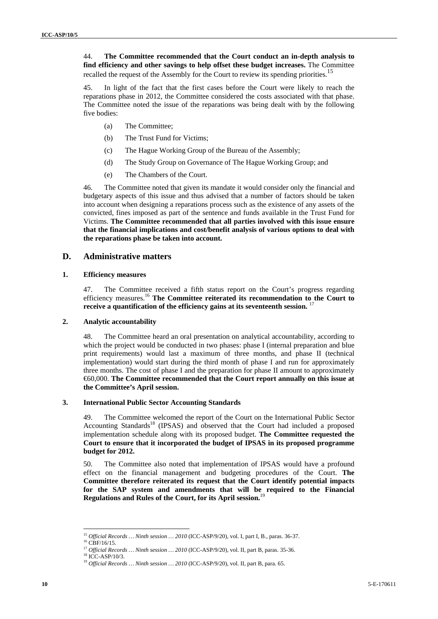44. **The Committee recommended that the Court conduct an in-depth analysis to find efficiency and other savings to help offset these budget increases.** The Committee recalled the request of the Assembly for the Court to review its spending priorities.<sup>15</sup>

45. In light of the fact that the first cases before the Court were likely to reach the reparations phase in 2012, the Committee considered the costs associated with that phase. The Committee noted the issue of the reparations was being dealt with by the following five bodies:

- (a) The Committee;
- (b) The Trust Fund for Victims;
- (c) The Hague Working Group of the Bureau of the Assembly;
- (d) The Study Group on Governance of The Hague Working Group; and
- (e) The Chambers of the Court.

46. The Committee noted that given its mandate it would consider only the financial and budgetary aspects of this issue and thus advised that a number of factors should be taken into account when designing a reparations process such as the existence of any assets of the convicted, fines imposed as part of the sentence and funds available in the Trust Fund for Victims. **The Committee recommended that all parties involved with this issue ensure that the financial implications and cost/benefit analysis of various options to deal with the reparations phase be taken into account.**

## **D. Administrative matters**

#### **1. Efficiency measures**

47. The Committee received a fifth status report on the Court's progress regarding efficiency measures.16 **The Committee reiterated its recommendation to the Court to receive a quantification of the efficiency gains at its seventeenth session.** <sup>1</sup>

#### **2. Analytic accountability**

48. The Committee heard an oral presentation on analytical accountability, according to which the project would be conducted in two phases: phase I (internal preparation and blue print requirements) would last a maximum of three months, and phase II (technical implementation) would start during the third month of phase I and run for approximately three months. The cost of phase I and the preparation for phase II amount to approximately €60,000. **The Committee recommended that the Court report annually on this issue at the Committee's April session.**

#### **3. International Public Sector Accounting Standards**

49. The Committee welcomed the report of the Court on the International Public Sector Accounting Standards<sup>18</sup> (IPSAS) and observed that the Court had included a proposed implementation schedule along with its proposed budget. **The Committee requested the Court to ensure that it incorporated the budget of IPSAS in its proposed programme budget for 2012.**

50. The Committee also noted that implementation of IPSAS would have a profound effect on the financial management and budgeting procedures of the Court. **The Committee therefore reiterated its request that the Court identify potential impacts for the SAP system and amendments that will be required to the Financial Regulations and Rules of the Court, for its April session.**<sup>19</sup>

<sup>&</sup>lt;sup>15</sup> *Official Records … Ninth session … 2010* (ICC-ASP/9/20), vol. I, part I, B., paras. 36-37. <sup>16</sup> CBF/16/15.

<sup>17</sup> *Official Records … Ninth session … 2010* (ICC-ASP/9/20), vol. II, part B, paras. 35-36. 18 ICC-ASP/10/3.

<sup>&</sup>lt;sup>19</sup> Official Records ... Ninth session ... 2010 (ICC-ASP/9/20), vol. II, part B, para. 65.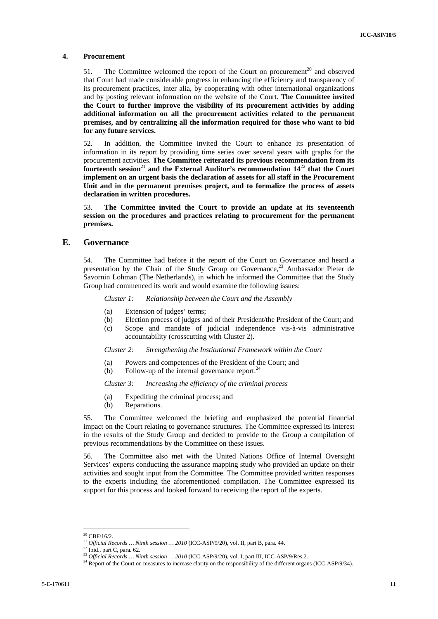#### **4. Procurement**

51. The Committee welcomed the report of the Court on procurement<sup>20</sup> and observed that Court had made considerable progress in enhancing the efficiency and transparency of its procurement practices, inter alia, by cooperating with other international organizations and by posting relevant information on the website of the Court. **The Committee invited the Court to further improve the visibility of its procurement activities by adding additional information on all the procurement activities related to the permanent premises, and by centralizing all the information required for those who want to bid for any future services.**

52. In addition, the Committee invited the Court to enhance its presentation of information in its report by providing time series over several years with graphs for the procurement activities. **The Committee reiterated its previous recommendation from its**  fourteenth session<sup>21</sup> and the External Auditor's recommendation  $14^{22}$  that the Court **implement on an urgent basis the declaration of assets for all staff in the Procurement Unit and in the permanent premises project, and to formalize the process of assets declaration in written procedures.** 

53. **The Committee invited the Court to provide an update at its seventeenth session on the procedures and practices relating to procurement for the permanent premises.** 

## **E. Governance**

54. The Committee had before it the report of the Court on Governance and heard a presentation by the Chair of the Study Group on Governance,<sup>23</sup> Ambassador Pieter de Savornin Lohman (The Netherlands), in which he informed the Committee that the Study Group had commenced its work and would examine the following issues:

*Cluster 1: Relationship between the Court and the Assembly* 

- (a) Extension of judges' terms;
- (b) Election process of judges and of their President/the President of the Court; and
- (c) Scope and mandate of judicial independence vis-à-vis administrative accountability (crosscutting with Cluster 2).

*Cluster 2: Strengthening the Institutional Framework within the Court* 

- (a) Powers and competences of the President of the Court; and
- (b) Follow-up of the internal governance report. $^{24}$

#### *Cluster 3: Increasing the efficiency of the criminal process*

- (a) Expediting the criminal process; and
- (b) Reparations.

55. The Committee welcomed the briefing and emphasized the potential financial impact on the Court relating to governance structures. The Committee expressed its interest in the results of the Study Group and decided to provide to the Group a compilation of previous recommendations by the Committee on these issues.

56. The Committee also met with the United Nations Office of Internal Oversight Services' experts conducting the assurance mapping study who provided an update on their activities and sought input from the Committee. The Committee provided written responses to the experts including the aforementioned compilation. The Committee expressed its support for this process and looked forward to receiving the report of the experts.

 $^{20}$  CBF/16/2.

<sup>&</sup>lt;sup>21</sup> *Official Records ... Ninth session ...*  $2010$  (ICC-ASP/9/20), vol. II, part B, para. 44.<br><sup>22</sup> Ibid., part C, para. 62.<br><sup>23</sup> *Official Records ... Ninth session ...*  $2010$  (ICC-ASP/9/20), vol. I, part III, ICC-ASP/

<sup>&</sup>lt;sup>24</sup> Report of the Court on measures to increase clarity on the responsibility of the different organs (ICC-ASP/9/34).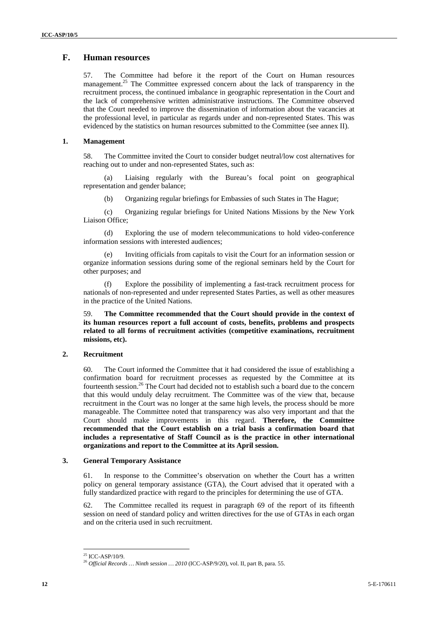# **F. Human resources**

57. The Committee had before it the report of the Court on Human resources management.<sup>25</sup> The Committee expressed concern about the lack of transparency in the recruitment process, the continued imbalance in geographic representation in the Court and the lack of comprehensive written administrative instructions. The Committee observed that the Court needed to improve the dissemination of information about the vacancies at the professional level, in particular as regards under and non-represented States. This was evidenced by the statistics on human resources submitted to the Committee (see annex II).

## **1. Management**

58. The Committee invited the Court to consider budget neutral/low cost alternatives for reaching out to under and non-represented States, such as:

(a) Liaising regularly with the Bureau's focal point on geographical representation and gender balance;

(b) Organizing regular briefings for Embassies of such States in The Hague;

(c) Organizing regular briefings for United Nations Missions by the New York Liaison Office;

(d) Exploring the use of modern telecommunications to hold video-conference information sessions with interested audiences;

(e) Inviting officials from capitals to visit the Court for an information session or organize information sessions during some of the regional seminars held by the Court for other purposes; and

Explore the possibility of implementing a fast-track recruitment process for nationals of non-represented and under represented States Parties, as well as other measures in the practice of the United Nations.

59. **The Committee recommended that the Court should provide in the context of its human resources report a full account of costs, benefits, problems and prospects related to all forms of recruitment activities (competitive examinations, recruitment missions, etc).** 

### **2. Recruitment**

60. The Court informed the Committee that it had considered the issue of establishing a confirmation board for recruitment processes as requested by the Committee at its fourteenth session.<sup>26</sup> The Court had decided not to establish such a board due to the concern that this would unduly delay recruitment. The Committee was of the view that, because recruitment in the Court was no longer at the same high levels, the process should be more manageable. The Committee noted that transparency was also very important and that the Court should make improvements in this regard. **Therefore, the Committee recommended that the Court establish on a trial basis a confirmation board that includes a representative of Staff Council as is the practice in other international organizations and report to the Committee at its April session.** 

#### **3. General Temporary Assistance**

61. In response to the Committee's observation on whether the Court has a written policy on general temporary assistance (GTA), the Court advised that it operated with a fully standardized practice with regard to the principles for determining the use of GTA.

62. The Committee recalled its request in paragraph 69 of the report of its fifteenth session on need of standard policy and written directives for the use of GTAs in each organ and on the criteria used in such recruitment.

 $25$  ICC-ASP/10/9.

<sup>26</sup> *Official Records … Ninth session … 2010* (ICC-ASP/9/20), vol. II, part B, para. 55.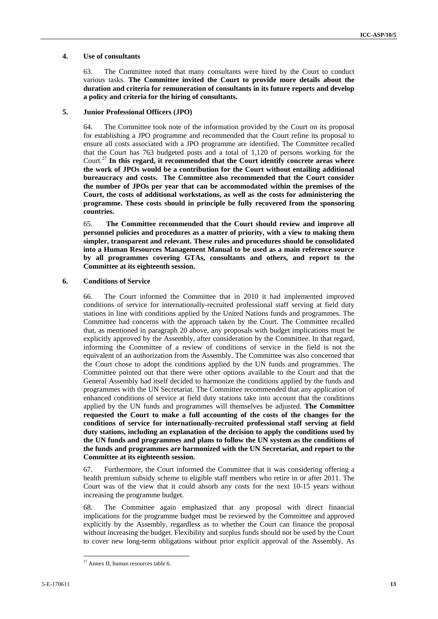#### **4. Use of consultants**

63. The Committee noted that many consultants were hired by the Court to conduct various tasks. **The Committee invited the Court to provide more details about the duration and criteria for remuneration of consultants in its future reports and develop a policy and criteria for the hiring of consultants.**

#### **5. Junior Professional Officers (JPO)**

64. The Committee took note of the information provided by the Court on its proposal for establishing a JPO programme and recommended that the Court refine its proposal to ensure all costs associated with a JPO programme are identified. The Committee recalled that the Court has 763 budgeted posts and a total of 1,120 of persons working for the Court.27 **In this regard, it recommended that the Court identify concrete areas where the work of JPOs would be a contribution for the Court without entailing additional bureaucracy and costs. The Committee also recommended that the Court consider the number of JPOs per year that can be accommodated within the premises of the Court, the costs of additional workstations, as well as the costs for administering the programme. These costs should in principle be fully recovered from the sponsoring countries.**

65. **The Committee recommended that the Court should review and improve all personnel policies and procedures as a matter of priority, with a view to making them simpler, transparent and relevant. These rules and procedures should be consolidated into a Human Resources Management Manual to be used as a main reference source by all programmes covering GTAs, consultants and others, and report to the Committee at its eighteenth session.**

## **6. Conditions of Service**

66. The Court informed the Committee that in 2010 it had implemented improved conditions of service for internationally-recruited professional staff serving at field duty stations in line with conditions applied by the United Nations funds and programmes. The Committee had concerns with the approach taken by the Court. The Committee recalled that, as mentioned in paragraph 20 above, any proposals with budget implications must be explicitly approved by the Assembly, after consideration by the Committee. In that regard, informing the Committee of a review of conditions of service in the field is not the equivalent of an authorization from the Assembly. The Committee was also concerned that the Court chose to adopt the conditions applied by the UN funds and programmes. The Committee pointed out that there were other options available to the Court and that the General Assembly had itself decided to harmonize the conditions applied by the funds and programmes with the UN Secretariat. The Committee recommended that any application of enhanced conditions of service at field duty stations take into account that the conditions applied by the UN funds and programmes will themselves be adjusted. **The Committee requested the Court to make a full accounting of the costs of the changes for the conditions of service for internationally-recruited professional staff serving at field duty stations, including an explanation of the decision to apply the conditions used by the UN funds and programmes and plans to follow the UN system as the conditions of the funds and programmes are harmonized with the UN Secretariat, and report to the Committee at its eighteenth session.**

67. Furthermore, the Court informed the Committee that it was considering offering a health premium subsidy scheme to eligible staff members who retire in or after 2011. The Court was of the view that it could absorb any costs for the next 10-15 years without increasing the programme budget.

68. The Committee again emphasized that any proposal with direct financial implications for the programme budget must be reviewed by the Committee and approved explicitly by the Assembly, regardless as to whether the Court can finance the proposal without increasing the budget. Flexibility and surplus funds should not be used by the Court to cover new long-term obligations without prior explicit approval of the Assembly. As

<sup>27</sup> Annex II, human resources table 6.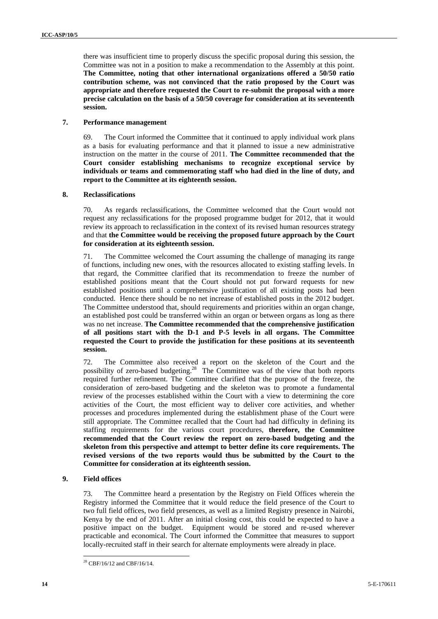there was insufficient time to properly discuss the specific proposal during this session, the Committee was not in a position to make a recommendation to the Assembly at this point. **The Committee, noting that other international organizations offered a 50/50 ratio contribution scheme, was not convinced that the ratio proposed by the Court was appropriate and therefore requested the Court to re-submit the proposal with a more precise calculation on the basis of a 50/50 coverage for consideration at its seventeenth session.** 

#### **7. Performance management**

69. The Court informed the Committee that it continued to apply individual work plans as a basis for evaluating performance and that it planned to issue a new administrative instruction on the matter in the course of 2011. **The Committee recommended that the Court consider establishing mechanisms to recognize exceptional service by individuals or teams and commemorating staff who had died in the line of duty, and report to the Committee at its eighteenth session.**

#### **8. Reclassifications**

70. As regards reclassifications, the Committee welcomed that the Court would not request any reclassifications for the proposed programme budget for 2012, that it would review its approach to reclassification in the context of its revised human resources strategy and that **the Committee would be receiving the proposed future approach by the Court for consideration at its eighteenth session.**

71. The Committee welcomed the Court assuming the challenge of managing its range of functions, including new ones, with the resources allocated to existing staffing levels. In that regard, the Committee clarified that its recommendation to freeze the number of established positions meant that the Court should not put forward requests for new established positions until a comprehensive justification of all existing posts had been conducted. Hence there should be no net increase of established posts in the 2012 budget. The Committee understood that, should requirements and priorities within an organ change, an established post could be transferred within an organ or between organs as long as there was no net increase. **The Committee recommended that the comprehensive justification of all positions start with the D-1 and P-5 levels in all organs. The Committee requested the Court to provide the justification for these positions at its seventeenth session.**

72. The Committee also received a report on the skeleton of the Court and the possibility of zero-based budgeting.<sup>28</sup> The Committee was of the view that both reports required further refinement. The Committee clarified that the purpose of the freeze, the consideration of zero-based budgeting and the skeleton was to promote a fundamental review of the processes established within the Court with a view to determining the core activities of the Court, the most efficient way to deliver core activities, and whether processes and procedures implemented during the establishment phase of the Court were still appropriate. The Committee recalled that the Court had had difficulty in defining its staffing requirements for the various court procedures, **therefore, the Committee recommended that the Court review the report on zero-based budgeting and the skeleton from this perspective and attempt to better define its core requirements. The revised versions of the two reports would thus be submitted by the Court to the Committee for consideration at its eighteenth session.** 

### **9. Field offices**

73. The Committee heard a presentation by the Registry on Field Offices wherein the Registry informed the Committee that it would reduce the field presence of the Court to two full field offices, two field presences, as well as a limited Registry presence in Nairobi, Kenya by the end of 2011. After an initial closing cost, this could be expected to have a positive impact on the budget. Equipment would be stored and re-used wherever practicable and economical. The Court informed the Committee that measures to support locally-recruited staff in their search for alternate employments were already in place.

<sup>28</sup> CBF/16/12 and CBF/16/14.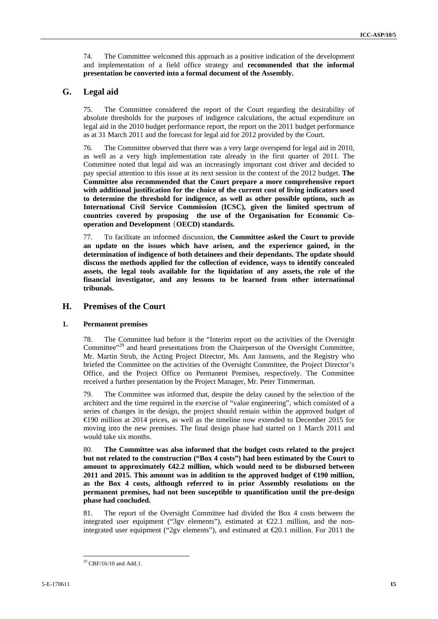74. The Committee welcomed this approach as a positive indication of the development and implementation of a field office strategy and **recommended that the informal presentation be converted into a formal document of the Assembly.**

# **G. Legal aid**

75. The Committee considered the report of the Court regarding the desirability of absolute thresholds for the purposes of indigence calculations, the actual expenditure on legal aid in the 2010 budget performance report, the report on the 2011 budget performance as at 31 March 2011 and the forecast for legal aid for 2012 provided by the Court.

76. The Committee observed that there was a very large overspend for legal aid in 2010, as well as a very high implementation rate already in the first quarter of 2011. The Committee noted that legal aid was an increasingly important cost driver and decided to pay special attention to this issue at its next session in the context of the 2012 budget. **The Committee also recommended that the Court prepare a more comprehensive report with additional justification for the choice of the current cost of living indicators used to determine the threshold for indigence, as well as other possible options, such as International Civil Service Commission (ICSC), given the limited spectrum of countries covered by proposing the use of the Organisation for Economic Cooperation and Development** (**OECD) standards.** 

77. To facilitate an informed discussion, **the Committee asked the Court to provide an update on the issues which have arisen, and the experience gained, in the determination of indigence of both detainees and their dependants. The update should discuss the methods applied for the collection of evidence, ways to identify concealed assets, the legal tools available for the liquidation of any assets, the role of the financial investigator, and any lessons to be learned from other international tribunals.**

## **H. Premises of the Court**

### **1. Permanent premises**

78. The Committee had before it the "Interim report on the activities of the Oversight Committee"<sup>29</sup> and heard presentations from the Chairperson of the Oversight Committee, Mr. Martin Strub, the Acting Project Director, Ms. Ann Janssens, and the Registry who briefed the Committee on the activities of the Oversight Committee, the Project Director's Office, and the Project Office on Permanent Premises, respectively. The Committee received a further presentation by the Project Manager, Mr. Peter Timmerman.

79. The Committee was informed that, despite the delay caused by the selection of the architect and the time required in the exercise of "value engineering", which consisted of a series of changes in the design, the project should remain within the approved budget of €190 million at 2014 prices, as well as the timeline now extended to December 2015 for moving into the new premises. The final design phase had started on 1 March 2011 and would take six months.

80. **The Committee was also informed that the budget costs related to the project but not related to the construction ("Box 4 costs") had been estimated by the Court to amount to approximately €42.2 million, which would need to be disbursed between 2011 and 2015. This amount was in addition to the approved budget of €190 million, as the Box 4 costs, although referred to in prior Assembly resolutions on the permanent premises, had not been susceptible to quantification until the pre-design phase had concluded.** 

81. The report of the Oversight Committee had divided the Box 4 costs between the integrated user equipment ("3gv elements"), estimated at  $\epsilon$ 22.1 million, and the nonintegrated user equipment ("2gv elements"), and estimated at  $\epsilon$ 20.1 million. For 2011 the

 $29$  CBF/16/10 and Add.1.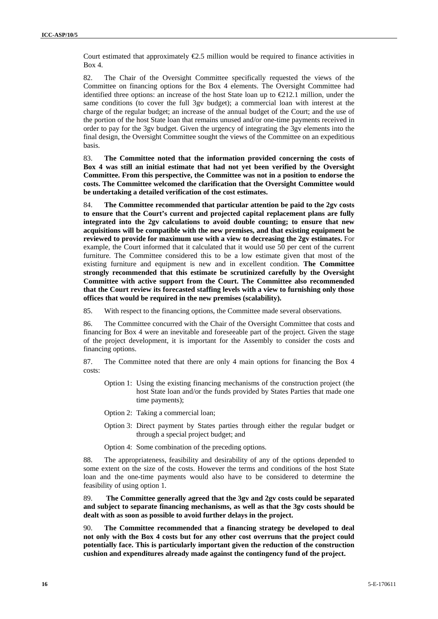Court estimated that approximately  $\epsilon$ 2.5 million would be required to finance activities in Box 4.

82. The Chair of the Oversight Committee specifically requested the views of the Committee on financing options for the Box 4 elements. The Oversight Committee had identified three options: an increase of the host State loan up to  $\epsilon 212.1$  million, under the same conditions (to cover the full 3gv budget); a commercial loan with interest at the charge of the regular budget; an increase of the annual budget of the Court; and the use of the portion of the host State loan that remains unused and/or one-time payments received in order to pay for the 3gv budget. Given the urgency of integrating the 3gv elements into the final design, the Oversight Committee sought the views of the Committee on an expeditious basis.

83. **The Committee noted that the information provided concerning the costs of Box 4 was still an initial estimate that had not yet been verified by the Oversight Committee. From this perspective, the Committee was not in a position to endorse the costs. The Committee welcomed the clarification that the Oversight Committee would be undertaking a detailed verification of the cost estimates.**

84. **The Committee recommended that particular attention be paid to the 2gv costs to ensure that the Court's current and projected capital replacement plans are fully integrated into the 2gv calculations to avoid double counting; to ensure that new acquisitions will be compatible with the new premises, and that existing equipment be reviewed to provide for maximum use with a view to decreasing the 2gv estimates.** For example, the Court informed that it calculated that it would use 50 per cent of the current furniture. The Committee considered this to be a low estimate given that most of the existing furniture and equipment is new and in excellent condition. **The Committee strongly recommended that this estimate be scrutinized carefully by the Oversight Committee with active support from the Court. The Committee also recommended that the Court review its forecasted staffing levels with a view to furnishing only those offices that would be required in the new premises (scalability).**

85. With respect to the financing options, the Committee made several observations.

86. The Committee concurred with the Chair of the Oversight Committee that costs and financing for Box 4 were an inevitable and foreseeable part of the project. Given the stage of the project development, it is important for the Assembly to consider the costs and financing options.

87. The Committee noted that there are only 4 main options for financing the Box 4 costs:

- Option 1: Using the existing financing mechanisms of the construction project (the host State loan and/or the funds provided by States Parties that made one time payments);
- Option 2: Taking a commercial loan;
- Option 3: Direct payment by States parties through either the regular budget or through a special project budget; and

Option 4: Some combination of the preceding options.

88. The appropriateness, feasibility and desirability of any of the options depended to some extent on the size of the costs. However the terms and conditions of the host State loan and the one-time payments would also have to be considered to determine the feasibility of using option 1.

89. **The Committee generally agreed that the 3gv and 2gv costs could be separated and subject to separate financing mechanisms, as well as that the 3gv costs should be dealt with as soon as possible to avoid further delays in the project.** 

90. **The Committee recommended that a financing strategy be developed to deal not only with the Box 4 costs but for any other cost overruns that the project could potentially face. This is particularly important given the reduction of the construction cushion and expenditures already made against the contingency fund of the project.**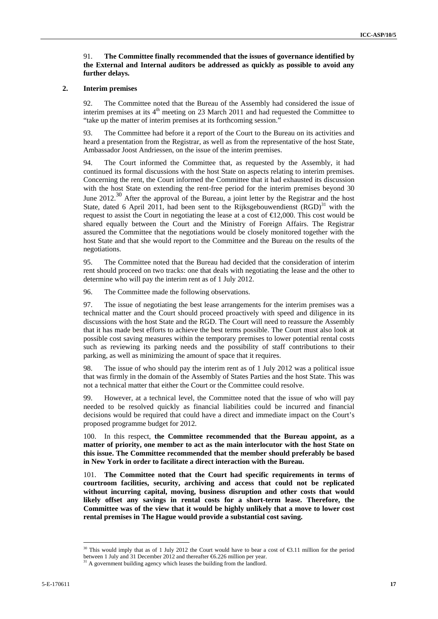#### 91. **The Committee finally recommended that the issues of governance identified by the External and Internal auditors be addressed as quickly as possible to avoid any further delays.**

#### **2. Interim premises**

92. The Committee noted that the Bureau of the Assembly had considered the issue of interim premises at its  $4<sup>th</sup>$  meeting on 23 March 2011 and had requested the Committee to "take up the matter of interim premises at its forthcoming session."

93. The Committee had before it a report of the Court to the Bureau on its activities and heard a presentation from the Registrar, as well as from the representative of the host State, Ambassador Joost Andriessen, on the issue of the interim premises.

94. The Court informed the Committee that, as requested by the Assembly, it had continued its formal discussions with the host State on aspects relating to interim premises. Concerning the rent, the Court informed the Committee that it had exhausted its discussion with the host State on extending the rent-free period for the interim premises beyond 30 June 2012.<sup>30</sup> After the approval of the Bureau, a joint letter by the Registrar and the host State, dated 6 April 2011, had been sent to the Rijksgebouwendienst  $(RGD)^{31}$  with the request to assist the Court in negotiating the lease at a cost of  $\epsilon$ 12,000. This cost would be shared equally between the Court and the Ministry of Foreign Affairs. The Registrar assured the Committee that the negotiations would be closely monitored together with the host State and that she would report to the Committee and the Bureau on the results of the negotiations.

95. The Committee noted that the Bureau had decided that the consideration of interim rent should proceed on two tracks: one that deals with negotiating the lease and the other to determine who will pay the interim rent as of 1 July 2012.

96. The Committee made the following observations.

97. The issue of negotiating the best lease arrangements for the interim premises was a technical matter and the Court should proceed proactively with speed and diligence in its discussions with the host State and the RGD. The Court will need to reassure the Assembly that it has made best efforts to achieve the best terms possible. The Court must also look at possible cost saving measures within the temporary premises to lower potential rental costs such as reviewing its parking needs and the possibility of staff contributions to their parking, as well as minimizing the amount of space that it requires.

98. The issue of who should pay the interim rent as of 1 July 2012 was a political issue that was firmly in the domain of the Assembly of States Parties and the host State. This was not a technical matter that either the Court or the Committee could resolve.

99. However, at a technical level, the Committee noted that the issue of who will pay needed to be resolved quickly as financial liabilities could be incurred and financial decisions would be required that could have a direct and immediate impact on the Court's proposed programme budget for 2012.

100. In this respect, **the Committee recommended that the Bureau appoint, as a matter of priority, one member to act as the main interlocutor with the host State on this issue. The Committee recommended that the member should preferably be based in New York in order to facilitate a direct interaction with the Bureau.**

101. **The Committee noted that the Court had specific requirements in terms of courtroom facilities, security, archiving and access that could not be replicated without incurring capital, moving, business disruption and other costs that would likely offset any savings in rental costs for a short-term lease. Therefore, the Committee was of the view that it would be highly unlikely that a move to lower cost rental premises in The Hague would provide a substantial cost saving.** 

<sup>&</sup>lt;sup>30</sup> This would imply that as of 1 July 2012 the Court would have to bear a cost of  $\text{\textsterling}3.11$  million for the period between 1 July and 31 December 2012 and thereafter  $\text{\textsterling}6.226$  million per year.

<sup>&</sup>lt;sup>31</sup> A government building agency which leases the building from the landlord.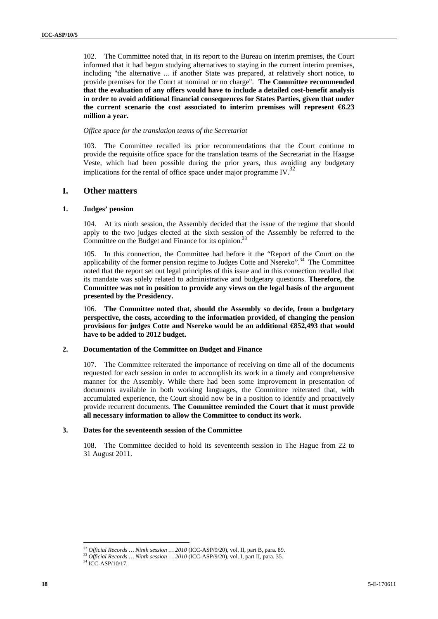102. The Committee noted that, in its report to the Bureau on interim premises, the Court informed that it had begun studying alternatives to staying in the current interim premises, including "the alternative ... if another State was prepared, at relatively short notice, to provide premises for the Court at nominal or no charge". **The Committee recommended that the evaluation of any offers would have to include a detailed cost-benefit analysis in order to avoid additional financial consequences for States Parties, given that under**  the current scenario the cost associated to interim premises will represent  $66.23$ **million a year.** 

#### *Office space for the translation teams of the Secretariat*

103. The Committee recalled its prior recommendations that the Court continue to provide the requisite office space for the translation teams of the Secretariat in the Haagse Veste, which had been possible during the prior years, thus avoiding any budgetary implications for the rental of office space under major programme IV. $^{32}$ 

# **I. Other matters**

#### **1. Judges' pension**

104. At its ninth session, the Assembly decided that the issue of the regime that should apply to the two judges elected at the sixth session of the Assembly be referred to the Committee on the Budget and Finance for its opinion.<sup>33</sup>

105. In this connection, the Committee had before it the "Report of the Court on the applicability of the former pension regime to Judges Cotte and Nsereko".<sup>34</sup> The Committee noted that the report set out legal principles of this issue and in this connection recalled that its mandate was solely related to administrative and budgetary questions. **Therefore, the Committee was not in position to provide any views on the legal basis of the argument presented by the Presidency.** 

106. **The Committee noted that, should the Assembly so decide, from a budgetary perspective, the costs, according to the information provided, of changing the pension provisions for judges Cotte and Nsereko would be an additional €852,493 that would have to be added to 2012 budget.** 

### **2. Documentation of the Committee on Budget and Finance**

107. The Committee reiterated the importance of receiving on time all of the documents requested for each session in order to accomplish its work in a timely and comprehensive manner for the Assembly. While there had been some improvement in presentation of documents available in both working languages, the Committee reiterated that, with accumulated experience, the Court should now be in a position to identify and proactively provide recurrent documents. **The Committee reminded the Court that it must provide all necessary information to allow the Committee to conduct its work.**

## **3. Dates for the seventeenth session of the Committee**

108. The Committee decided to hold its seventeenth session in The Hague from 22 to 31 August 2011.

<sup>&</sup>lt;sup>32</sup> Official Records ... Ninth session ... 2010 (ICC-ASP/9/20), vol. II, part B, para. 89.

 $^{33}$  *Official Records … Ninth session … 2010* (ICC-ASP/9/20), vol. I, part II, para. 35.  $^{34}$  ICC-ASP/10/17.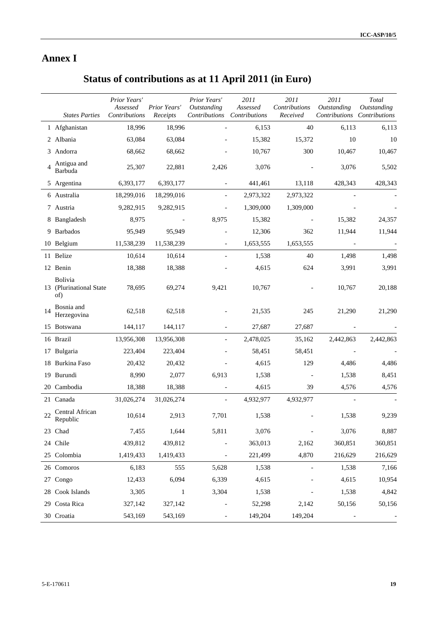# **Annex I**

# **Status of contributions as at 11 April 2011 (in Euro)**

|    | <b>States Parties</b>                            | Prior Years'<br>Assessed<br>Contributions | Prior Years'<br>Receipts | Prior Years'<br>Outstanding<br>Contributions | 2011<br>Assessed<br>Contributions | 2011<br>Contributions<br>Received | 2011<br>Outstanding<br>Contributions | Total<br><b>Outstanding</b><br>Contributions |
|----|--------------------------------------------------|-------------------------------------------|--------------------------|----------------------------------------------|-----------------------------------|-----------------------------------|--------------------------------------|----------------------------------------------|
|    | 1 Afghanistan                                    | 18,996                                    | 18,996                   |                                              | 6,153                             | 40                                | 6,113                                | 6,113                                        |
|    | 2 Albania                                        | 63,084                                    | 63,084                   |                                              | 15,382                            | 15,372                            | 10                                   | 10                                           |
|    | 3 Andorra                                        | 68,662                                    | 68,662                   |                                              | 10,767                            | 300                               | 10,467                               | 10,467                                       |
|    | Antigua and<br>Barbuda                           | 25,307                                    | 22,881                   | 2,426                                        | 3,076                             |                                   | 3,076                                | 5,502                                        |
|    | 5 Argentina                                      | 6,393,177                                 | 6,393,177                |                                              | 441,461                           | 13,118                            | 428,343                              | 428,343                                      |
|    | 6 Australia                                      | 18,299,016                                | 18,299,016               | $\overline{\phantom{a}}$                     | 2,973,322                         | 2,973,322                         |                                      |                                              |
|    | 7 Austria                                        | 9,282,915                                 | 9,282,915                |                                              | 1,309,000                         | 1,309,000                         |                                      |                                              |
|    | 8 Bangladesh                                     | 8,975                                     |                          | 8,975                                        | 15,382                            |                                   | 15,382                               | 24,357                                       |
| 9  | <b>Barbados</b>                                  | 95,949                                    | 95,949                   |                                              | 12,306                            | 362                               | 11,944                               | 11,944                                       |
|    | 10 Belgium                                       | 11,538,239                                | 11,538,239               | $\overline{\phantom{a}}$                     | 1,653,555                         | 1,653,555                         |                                      |                                              |
|    | 11 Belize                                        | 10,614                                    | 10,614                   |                                              | 1,538                             | 40                                | 1,498                                | 1,498                                        |
|    | 12 Benin                                         | 18,388                                    | 18,388                   |                                              | 4,615                             | 624                               | 3,991                                | 3,991                                        |
|    | <b>Bolivia</b><br>13 (Plurinational State<br>of) | 78,695                                    | 69,274                   | 9,421                                        | 10,767                            |                                   | 10,767                               | 20,188                                       |
| 14 | Bosnia and<br>Herzegovina                        | 62,518                                    | 62,518                   |                                              | 21,535                            | 245                               | 21,290                               | 21,290                                       |
|    | 15 Botswana                                      | 144,117                                   | 144,117                  |                                              | 27,687                            | 27,687                            |                                      |                                              |
|    | 16 Brazil                                        | 13,956,308                                | 13,956,308               |                                              | 2,478,025                         | 35,162                            | 2,442,863                            | 2,442,863                                    |
|    | 17 Bulgaria                                      | 223,404                                   | 223,404                  |                                              | 58,451                            | 58,451                            |                                      |                                              |
| 18 | Burkina Faso                                     | 20,432                                    | 20,432                   |                                              | 4,615                             | 129                               | 4,486                                | 4,486                                        |
|    | 19 Burundi                                       | 8,990                                     | 2,077                    | 6,913                                        | 1,538                             |                                   | 1,538                                | 8,451                                        |
|    | 20 Cambodia                                      | 18,388                                    | 18,388                   | $\overline{\phantom{0}}$                     | 4,615                             | 39                                | 4,576                                | 4,576                                        |
|    | 21 Canada                                        | 31,026,274                                | 31,026,274               |                                              | 4,932,977                         | 4,932,977                         |                                      |                                              |
| 22 | Central African<br>Republic                      | 10,614                                    | 2,913                    | 7,701                                        | 1,538                             |                                   | 1,538                                | 9,239                                        |
|    | 23 Chad                                          | 7,455                                     | 1,644                    | 5,811                                        | 3,076                             |                                   | 3,076                                | 8,887                                        |
|    | 24 Chile                                         | 439,812                                   | 439,812                  |                                              | 363,013                           | 2,162                             | 360,851                              | 360,851                                      |
|    | 25 Colombia                                      | 1,419,433                                 | 1,419,433                | $\overline{\phantom{0}}$                     | 221,499                           | 4,870                             | 216,629                              | 216,629                                      |
|    | 26 Comoros                                       | 6,183                                     | 555                      | 5,628                                        | 1,538                             |                                   | 1,538                                | 7,166                                        |
|    | 27 Congo                                         | 12,433                                    | 6,094                    | 6,339                                        | 4,615                             |                                   | 4,615                                | 10,954                                       |
|    | 28 Cook Islands                                  | 3,305                                     | 1                        | 3,304                                        | 1,538                             |                                   | 1,538                                | 4,842                                        |
|    | 29 Costa Rica                                    | 327,142                                   | 327,142                  |                                              | 52,298                            | 2,142                             | 50,156                               | 50,156                                       |
|    | 30 Croatia                                       | 543,169                                   | 543,169                  |                                              | 149,204                           | 149,204                           |                                      |                                              |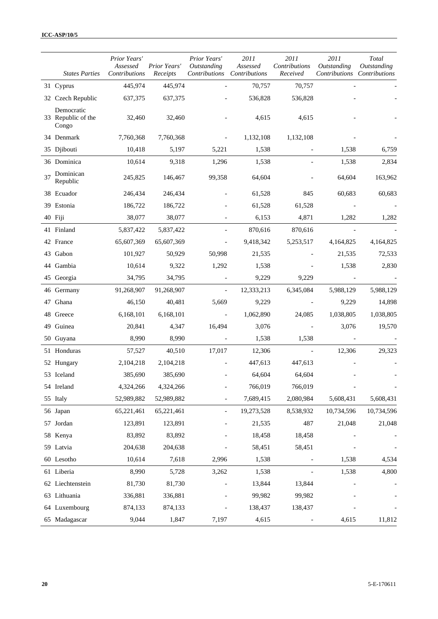|    | <b>States Parties</b>                     | Prior Years'<br>Assessed<br>Contributions | Prior Years'<br>Receipts | Prior Years'<br>Outstanding<br>Contributions Contributions | 2011<br>Assessed | 2011<br>Contributions<br>Received | 2011<br>Outstanding<br>Contributions Contributions | Total<br>Outstanding |
|----|-------------------------------------------|-------------------------------------------|--------------------------|------------------------------------------------------------|------------------|-----------------------------------|----------------------------------------------------|----------------------|
|    | 31 Cyprus                                 | 445,974                                   | 445,974                  |                                                            | 70,757           | 70,757                            |                                                    |                      |
|    | 32 Czech Republic                         | 637,375                                   | 637,375                  |                                                            | 536,828          | 536,828                           |                                                    |                      |
|    | Democratic<br>33 Republic of the<br>Congo | 32,460                                    | 32,460                   |                                                            | 4,615            | 4,615                             |                                                    |                      |
|    | 34 Denmark                                | 7,760,368                                 | 7,760,368                |                                                            | 1,132,108        | 1,132,108                         |                                                    |                      |
|    | 35 Djibouti                               | 10,418                                    | 5,197                    | 5,221                                                      | 1,538            |                                   | 1,538                                              | 6,759                |
|    | 36 Dominica                               | 10,614                                    | 9,318                    | 1,296                                                      | 1,538            |                                   | 1,538                                              | 2,834                |
| 37 | Dominican<br>Republic                     | 245,825                                   | 146,467                  | 99,358                                                     | 64,604           |                                   | 64,604                                             | 163,962              |
|    | 38 Ecuador                                | 246,434                                   | 246,434                  |                                                            | 61,528           | 845                               | 60,683                                             | 60,683               |
|    | 39 Estonia                                | 186,722                                   | 186,722                  |                                                            | 61,528           | 61,528                            |                                                    |                      |
|    | 40 Fiji                                   | 38,077                                    | 38,077                   |                                                            | 6,153            | 4,871                             | 1,282                                              | 1,282                |
|    | 41 Finland                                | 5,837,422                                 | 5,837,422                |                                                            | 870,616          | 870,616                           |                                                    |                      |
|    | 42 France                                 | 65,607,369                                | 65,607,369               |                                                            | 9,418,342        | 5,253,517                         | 4,164,825                                          | 4,164,825            |
|    | 43 Gabon                                  | 101,927                                   | 50,929                   | 50,998                                                     | 21,535           |                                   | 21,535                                             | 72,533               |
|    | 44 Gambia                                 | 10,614                                    | 9,322                    | 1,292                                                      | 1,538            |                                   | 1,538                                              | 2,830                |
|    | 45 Georgia                                | 34,795                                    | 34,795                   |                                                            | 9,229            | 9,229                             |                                                    |                      |
|    | 46 Germany                                | 91,268,907                                | 91,268,907               |                                                            | 12,333,213       | 6,345,084                         | 5,988,129                                          | 5,988,129            |
|    | 47 Ghana                                  | 46,150                                    | 40,481                   | 5,669                                                      | 9,229            |                                   | 9,229                                              | 14,898               |
|    | 48 Greece                                 | 6,168,101                                 | 6,168,101                |                                                            | 1,062,890        | 24,085                            | 1,038,805                                          | 1,038,805            |
|    | 49 Guinea                                 | 20,841                                    | 4,347                    | 16,494                                                     | 3,076            |                                   | 3,076                                              | 19,570               |
|    | 50 Guyana                                 | 8,990                                     | 8,990                    |                                                            | 1,538            | 1,538                             |                                                    |                      |
|    | 51 Honduras                               | 57,527                                    | 40,510                   | 17,017                                                     | 12,306           |                                   | 12,306                                             | 29,323               |
|    | 52 Hungary                                | 2,104,218                                 | 2,104,218                |                                                            | 447,613          | 447,613                           |                                                    |                      |
|    | 53 Iceland                                | 385,690                                   | 385,690                  |                                                            | 64,604           | 64,604                            |                                                    |                      |
|    | 54 Ireland                                | 4,324,266                                 | 4,324,266                |                                                            | 766,019          | 766,019                           |                                                    |                      |
|    | 55 Italy                                  | 52,989,882                                | 52,989,882               |                                                            | 7,689,415        | 2,080,984                         | 5,608,431                                          | 5,608,431            |
|    | 56 Japan                                  | 65,221,461                                | 65,221,461               | $\overline{\phantom{a}}$                                   | 19,273,528       | 8,538,932                         | 10,734,596                                         | 10,734,596           |
|    | 57 Jordan                                 | 123,891                                   | 123,891                  |                                                            | 21,535           | 487                               | 21,048                                             | 21,048               |
|    | 58 Kenya                                  | 83,892                                    | 83,892                   |                                                            | 18,458           | 18,458                            |                                                    |                      |
|    | 59 Latvia                                 | 204,638                                   | 204,638                  |                                                            | 58,451           | 58,451                            |                                                    |                      |
|    | 60 Lesotho                                | 10,614                                    | 7,618                    | 2,996                                                      | 1,538            |                                   | 1,538                                              | 4,534                |
|    | 61 Liberia                                | 8,990                                     | 5,728                    | 3,262                                                      | 1,538            |                                   | 1,538                                              | 4,800                |
|    | 62 Liechtenstein                          | 81,730                                    | 81,730                   |                                                            | 13,844           | 13,844                            |                                                    |                      |
|    | 63 Lithuania                              | 336,881                                   | 336,881                  |                                                            | 99,982           | 99,982                            |                                                    |                      |
|    | 64 Luxembourg                             | 874,133                                   | 874,133                  |                                                            | 138,437          | 138,437                           |                                                    |                      |
|    | 65 Madagascar                             | 9,044                                     | 1,847                    | 7,197                                                      | 4,615            |                                   | 4,615                                              | 11,812               |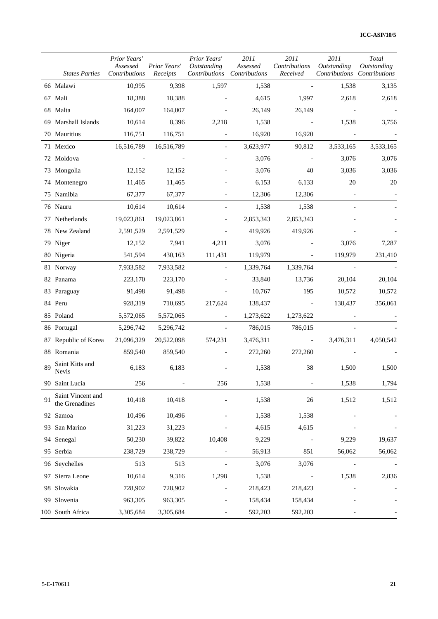|     | <b>States Parties</b>               | Prior Years'<br>Assessed<br>Contributions | Prior Years'<br>Receipts | Prior Years'<br>Outstanding<br>Contributions Contributions | 2011<br>Assessed | 2011<br>Contributions<br>Received | 2011<br>Outstanding<br>Contributions Contributions | Total<br>Outstanding |
|-----|-------------------------------------|-------------------------------------------|--------------------------|------------------------------------------------------------|------------------|-----------------------------------|----------------------------------------------------|----------------------|
|     | 66 Malawi                           | 10,995                                    | 9,398                    | 1,597                                                      | 1,538            |                                   | 1,538                                              | 3,135                |
|     | 67 Mali                             | 18,388                                    | 18,388                   |                                                            | 4,615            | 1,997                             | 2,618                                              | 2,618                |
|     | 68 Malta                            | 164,007                                   | 164,007                  |                                                            | 26,149           | 26,149                            |                                                    |                      |
|     | 69 Marshall Islands                 | 10,614                                    | 8,396                    | 2,218                                                      | 1,538            |                                   | 1,538                                              | 3,756                |
|     | 70 Mauritius                        | 116,751                                   | 116,751                  | $\overline{\phantom{a}}$                                   | 16,920           | 16,920                            |                                                    |                      |
|     | 71 Mexico                           | 16,516,789                                | 16,516,789               |                                                            | 3,623,977        | 90,812                            | 3,533,165                                          | 3,533,165            |
|     | 72 Moldova                          |                                           |                          |                                                            | 3,076            |                                   | 3,076                                              | 3,076                |
|     | 73 Mongolia                         | 12,152                                    | 12,152                   |                                                            | 3,076            | 40                                | 3,036                                              | 3,036                |
|     | 74 Montenegro                       | 11,465                                    | 11,465                   |                                                            | 6,153            | 6,133                             | 20                                                 | 20                   |
|     | 75 Namibia                          | 67,377                                    | 67,377                   |                                                            | 12,306           | 12,306                            |                                                    |                      |
|     | 76 Nauru                            | 10,614                                    | 10,614                   |                                                            | 1,538            | 1,538                             |                                                    |                      |
|     | 77 Netherlands                      | 19,023,861                                | 19,023,861               |                                                            | 2,853,343        | 2,853,343                         |                                                    |                      |
|     | 78 New Zealand                      | 2,591,529                                 | 2,591,529                |                                                            | 419,926          | 419,926                           |                                                    |                      |
|     | 79 Niger                            | 12,152                                    | 7,941                    | 4,211                                                      | 3,076            |                                   | 3,076                                              | 7,287                |
|     | 80 Nigeria                          | 541,594                                   | 430,163                  | 111,431                                                    | 119,979          |                                   | 119,979                                            | 231,410              |
|     | 81 Norway                           | 7,933,582                                 | 7,933,582                |                                                            | 1,339,764        | 1,339,764                         |                                                    |                      |
|     | 82 Panama                           | 223,170                                   | 223,170                  |                                                            | 33,840           | 13,736                            | 20,104                                             | 20,104               |
|     | 83 Paraguay                         | 91,498                                    | 91,498                   |                                                            | 10,767           | 195                               | 10,572                                             | 10,572               |
|     | 84 Peru                             | 928,319                                   | 710,695                  | 217,624                                                    | 138,437          |                                   | 138,437                                            | 356,061              |
|     | 85 Poland                           | 5,572,065                                 | 5,572,065                | $\overline{\phantom{a}}$                                   | 1,273,622        | 1,273,622                         |                                                    |                      |
|     | 86 Portugal                         | 5,296,742                                 | 5,296,742                |                                                            | 786,015          | 786,015                           |                                                    |                      |
| 87  | Republic of Korea                   | 21,096,329                                | 20,522,098               | 574,231                                                    | 3,476,311        |                                   | 3,476,311                                          | 4,050,542            |
|     | 88 Romania                          | 859,540                                   | 859,540                  |                                                            | 272,260          | 272,260                           |                                                    |                      |
| 89  | Saint Kitts and<br><b>Nevis</b>     | 6,183                                     | 6,183                    |                                                            | 1,538            | 38                                | 1,500                                              | 1,500                |
| 90  | Saint Lucia                         | 256                                       |                          | 256                                                        | 1,538            |                                   | 1,538                                              | 1,794                |
| 91  | Saint Vincent and<br>the Grenadines | 10,418                                    | 10,418                   |                                                            | 1,538            | 26                                | 1,512                                              | 1,512                |
|     | 92 Samoa                            | 10,496                                    | 10,496                   |                                                            | 1,538            | 1,538                             |                                                    |                      |
| 93. | San Marino                          | 31,223                                    | 31,223                   |                                                            | 4,615            | 4,615                             |                                                    |                      |
| 94  | Senegal                             | 50,230                                    | 39,822                   | 10,408                                                     | 9,229            |                                   | 9,229                                              | 19,637               |
| 95  | Serbia                              | 238,729                                   | 238,729                  |                                                            | 56,913           | 851                               | 56,062                                             | 56,062               |
|     | 96 Seychelles                       | 513                                       | 513                      |                                                            | 3,076            | 3,076                             |                                                    |                      |
| 97  | Sierra Leone                        | 10,614                                    | 9,316                    | 1,298                                                      | 1,538            |                                   | 1,538                                              | 2,836                |
|     | 98 Slovakia                         | 728,902                                   | 728,902                  |                                                            | 218,423          | 218,423                           |                                                    |                      |
| 99  | Slovenia                            | 963,305                                   | 963,305                  |                                                            | 158,434          | 158,434                           |                                                    |                      |
|     | 100 South Africa                    | 3,305,684                                 | 3,305,684                |                                                            | 592,203          | 592,203                           |                                                    |                      |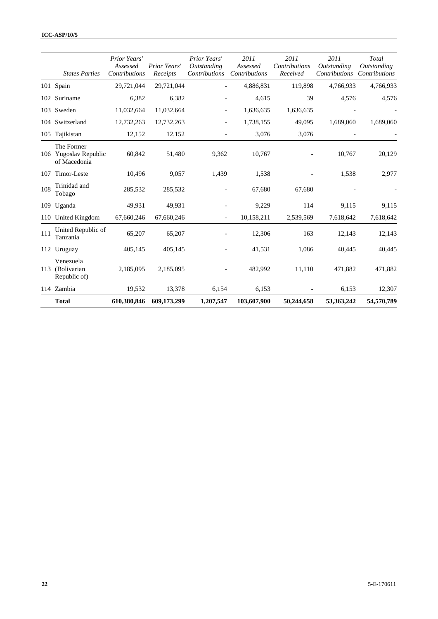|     | <b>States Parties</b>                               | Prior Years'<br>Assessed<br>Contributions | Prior Years'<br>Receipts | Prior Years'<br>Outstanding<br>Contributions | 2011<br>Assessed<br>Contributions | 2011<br>Contributions<br>Received | 2011<br><i><b>Outstanding</b></i><br>Contributions | Total<br><i><b>Outstanding</b></i><br>Contributions |
|-----|-----------------------------------------------------|-------------------------------------------|--------------------------|----------------------------------------------|-----------------------------------|-----------------------------------|----------------------------------------------------|-----------------------------------------------------|
|     | 101 Spain                                           | 29,721,044                                | 29,721,044               |                                              | 4,886,831                         | 119,898                           | 4,766,933                                          | 4,766,933                                           |
|     | 102 Suriname                                        | 6,382                                     | 6,382                    |                                              | 4,615                             | 39                                | 4,576                                              | 4,576                                               |
|     | 103 Sweden                                          | 11,032,664                                | 11,032,664               |                                              | 1,636,635                         | 1,636,635                         |                                                    |                                                     |
|     | 104 Switzerland                                     | 12,732,263                                | 12,732,263               |                                              | 1,738,155                         | 49,095                            | 1,689,060                                          | 1,689,060                                           |
|     | 105 Tajikistan                                      | 12,152                                    | 12,152                   |                                              | 3,076                             | 3,076                             |                                                    |                                                     |
|     | The Former<br>106 Yugoslav Republic<br>of Macedonia | 60,842                                    | 51,480                   | 9,362                                        | 10,767                            |                                   | 10,767                                             | 20,129                                              |
| 107 | Timor-Leste                                         | 10,496                                    | 9,057                    | 1,439                                        | 1,538                             |                                   | 1,538                                              | 2,977                                               |
| 108 | Trinidad and<br>Tobago                              | 285,532                                   | 285,532                  |                                              | 67,680                            | 67,680                            |                                                    |                                                     |
| 109 | Uganda                                              | 49,931                                    | 49,931                   |                                              | 9,229                             | 114                               | 9,115                                              | 9,115                                               |
|     | 110 United Kingdom                                  | 67,660,246                                | 67,660,246               |                                              | 10,158,211                        | 2,539,569                         | 7,618,642                                          | 7,618,642                                           |
| 111 | United Republic of<br>Tanzania                      | 65,207                                    | 65,207                   |                                              | 12,306                            | 163                               | 12,143                                             | 12,143                                              |
|     | 112 Uruguay                                         | 405,145                                   | 405,145                  |                                              | 41,531                            | 1,086                             | 40,445                                             | 40,445                                              |
| 113 | Venezuela<br>(Bolivarian<br>Republic of)            | 2,185,095                                 | 2,185,095                |                                              | 482,992                           | 11,110                            | 471,882                                            | 471,882                                             |
|     | 114 Zambia                                          | 19,532                                    | 13,378                   | 6,154                                        | 6,153                             |                                   | 6,153                                              | 12,307                                              |
|     | <b>Total</b>                                        | 610,380,846                               | 609,173,299              | 1,207,547                                    | 103,607,900                       | 50,244,658                        | 53,363,242                                         | 54,570,789                                          |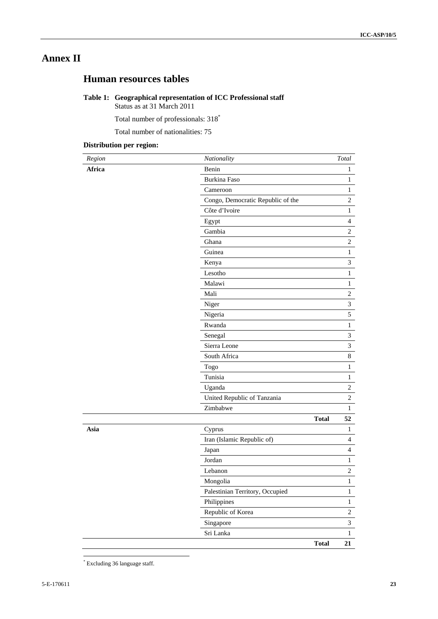# **Annex II**

# **Human resources tables**

# **Table 1: Geographical representation of ICC Professional staff**

Status as at 31 March 2011

Total number of professionals: 318\*

Total number of nationalities: 75

# **Distribution per region:**

| Region | Nationality                       |              | Total            |
|--------|-----------------------------------|--------------|------------------|
| Africa | Benin                             |              | 1                |
|        | <b>Burkina Faso</b>               |              | $\mathbf{1}$     |
|        | Cameroon                          |              | $\mathbf{1}$     |
|        | Congo, Democratic Republic of the |              | $\mathbf{2}$     |
|        | Côte d'Ivoire                     |              | 1                |
|        | Egypt                             |              | $\overline{4}$   |
|        | Gambia                            |              | $\overline{c}$   |
|        | Ghana                             |              | $\overline{c}$   |
|        | Guinea                            |              | $\mathbf{1}$     |
|        | Kenya                             |              | $\mathfrak{Z}$   |
|        | Lesotho                           |              | $\mathbf{1}$     |
|        | Malawi                            |              | $\mathbf{1}$     |
|        | Mali                              |              | $\overline{c}$   |
|        | Niger                             |              | $\mathfrak{Z}$   |
|        | Nigeria                           |              | 5                |
|        | Rwanda                            |              | $\mathbf{1}$     |
|        | Senegal                           |              | $\mathfrak{Z}$   |
|        | Sierra Leone                      |              | 3                |
|        | South Africa                      |              | 8                |
|        | Togo                              |              | $\mathbf{1}$     |
|        | Tunisia                           |              | $\mathbf{1}$     |
|        | Uganda                            |              | $\overline{c}$   |
|        | United Republic of Tanzania       |              | $\overline{c}$   |
|        | Zimbabwe                          |              | $\mathbf{1}$     |
|        |                                   | <b>Total</b> | 52               |
| Asia   | Cyprus                            |              | $\mathbf{1}$     |
|        | Iran (Islamic Republic of)        |              | $\overline{4}$   |
|        | Japan                             |              | $\overline{4}$   |
|        | Jordan                            |              | $\mathbf{1}$     |
|        | Lebanon                           |              | $\sqrt{2}$       |
|        | Mongolia                          |              | $\mathbf{1}$     |
|        | Palestinian Territory, Occupied   |              | $\,1$            |
|        | Philippines                       |              | $\mathbf{1}$     |
|        | Republic of Korea                 |              | $\boldsymbol{2}$ |
|        | Singapore                         |              | $\overline{3}$   |
|        | Sri Lanka                         |              | $\mathbf{1}$     |
|        |                                   | <b>Total</b> | 21               |

 \* Excluding 36 language staff.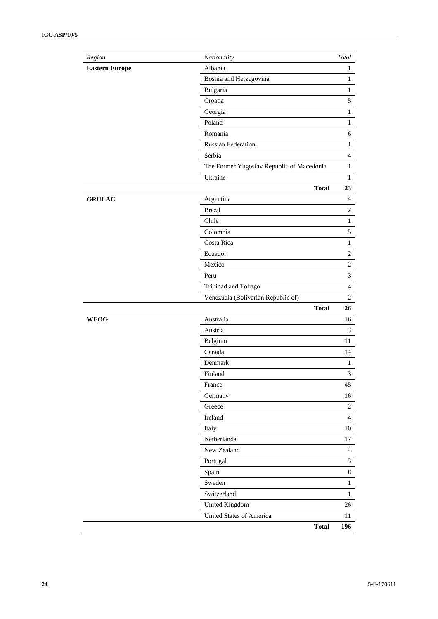| $Region$              | Nationality                               | Total            |
|-----------------------|-------------------------------------------|------------------|
| <b>Eastern Europe</b> | Albania                                   | $\,1$            |
|                       | Bosnia and Herzegovina                    | $\,1$            |
|                       | Bulgaria                                  | $\,1$            |
|                       | Croatia                                   | 5                |
|                       | Georgia                                   | $\,1$            |
|                       | Poland                                    | $\,1$            |
|                       | Romania                                   | 6                |
|                       | <b>Russian Federation</b>                 | $\mathbf{1}$     |
|                       | Serbia                                    | $\overline{4}$   |
|                       | The Former Yugoslav Republic of Macedonia | $\mathbf{1}$     |
|                       | Ukraine                                   | 1                |
|                       | <b>Total</b>                              | 23               |
| <b>GRULAC</b>         | Argentina                                 | $\overline{4}$   |
|                       | <b>Brazil</b>                             | $\boldsymbol{2}$ |
|                       | Chile                                     | $\mathbf{1}$     |
|                       | Colombia                                  | 5                |
|                       | Costa Rica                                | $\mathbf{1}$     |
|                       | Ecuador                                   | $\sqrt{2}$       |
|                       | Mexico                                    | $\overline{c}$   |
|                       | Peru                                      | 3                |
|                       | Trinidad and Tobago                       | $\overline{4}$   |
|                       | Venezuela (Bolivarian Republic of)        | $\sqrt{2}$       |
|                       | <b>Total</b>                              | 26               |
| <b>WEOG</b>           | Australia                                 | 16               |
|                       | Austria                                   | $\mathfrak{Z}$   |
|                       | Belgium                                   | 11               |
|                       | Canada                                    | 14               |
|                       | Denmark                                   | $\mathbf{1}$     |
|                       | Finland                                   | 3                |
|                       | France                                    | 45               |
|                       | Germany                                   | 16               |
|                       | Greece                                    | $\overline{2}$   |
|                       | Ireland                                   | $\overline{4}$   |
|                       | Italy                                     | 10               |
|                       | Netherlands                               | 17               |
|                       | New Zealand                               | $\overline{4}$   |
|                       | Portugal                                  | 3                |
|                       | Spain                                     | $8\,$            |
|                       | Sweden                                    | $\mathbf{1}$     |
|                       | Switzerland                               | $\mathbf 1$      |
|                       | United Kingdom                            | 26               |
|                       | United States of America                  | 11               |
|                       | <b>Total</b>                              | 196              |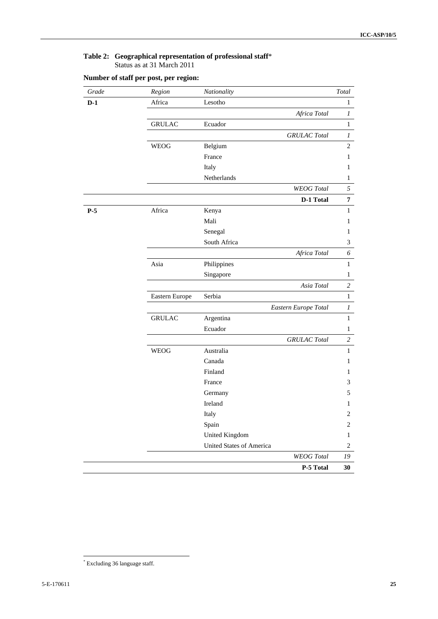#### **Table 2: Geographical representation of professional staff**\* Status as at 31 March 2011

| Grade | Region         | Nationality                     | $\operatorname{Total}$ |
|-------|----------------|---------------------------------|------------------------|
| $D-1$ | Africa         | Lesotho                         | $\mathbf{1}$           |
|       |                | Africa Total                    | $\boldsymbol{l}$       |
|       | <b>GRULAC</b>  | Ecuador                         | $\mathbf{1}$           |
|       |                | <b>GRULAC</b> Total             | $\boldsymbol{l}$       |
|       | <b>WEOG</b>    | Belgium                         | $\overline{c}$         |
|       |                | France                          | 1                      |
|       |                | Italy                           | 1                      |
|       |                | Netherlands                     | $\mathbf{1}$           |
|       |                | <b>WEOG</b> Total               | 5                      |
|       |                | D-1 Total                       | $\overline{7}$         |
| $P-5$ | Africa         | Kenya                           | $\mathbf{1}$           |
|       |                | Mali                            | 1                      |
|       |                | Senegal                         | $\mathbf{1}$           |
|       |                | South Africa                    | 3                      |
|       |                | Africa Total                    | 6                      |
|       | Asia           | Philippines                     | $\mathbf{1}$           |
|       |                | Singapore                       | $\mathbf{1}$           |
|       |                | Asia Total                      | $\overline{c}$         |
|       | Eastern Europe | Serbia                          | $\mathbf{1}$           |
|       |                | Eastern Europe Total            | 1                      |
|       | <b>GRULAC</b>  | Argentina                       | $\mathbf{1}$           |
|       |                | Ecuador                         | $\mathbf{1}$           |
|       |                | <b>GRULAC</b> Total             | $\overline{c}$         |
|       | <b>WEOG</b>    | Australia                       | $\mathbf{1}$           |
|       |                | Canada                          | 1                      |
|       |                | Finland                         | 1                      |
|       |                | France                          | 3                      |
|       |                | Germany                         | 5                      |
|       |                | Ireland                         | 1                      |
|       |                | Italy                           | $\boldsymbol{2}$       |
|       |                | Spain                           | $\overline{c}$         |
|       |                | <b>United Kingdom</b>           | $\mathbf{1}$           |
|       |                | <b>United States of America</b> | $\sqrt{2}$             |
|       |                | <b>WEOG</b> Total               | 19                     |
|       |                | P-5 Total                       | 30                     |

# **Number of staff per post, per region:**

 \* Excluding 36 language staff.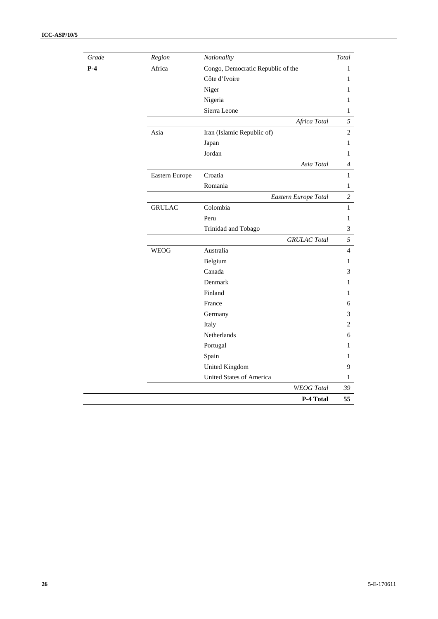| Grade | Region         | Nationality                       | Total          |
|-------|----------------|-----------------------------------|----------------|
| $P-4$ | Africa         | Congo, Democratic Republic of the | 1              |
|       |                | Côte d'Ivoire                     | 1              |
|       |                | Niger                             | 1              |
|       |                | Nigeria                           | 1              |
|       |                | Sierra Leone                      | 1              |
|       |                | Africa Total                      | 5              |
|       | Asia           | Iran (Islamic Republic of)        | $\overline{2}$ |
|       |                | Japan                             | 1              |
|       |                | Jordan                            | 1              |
|       |                | Asia Total                        | $\overline{4}$ |
|       | Eastern Europe | Croatia                           | $\,1$          |
|       |                | Romania                           | 1              |
|       |                | Eastern Europe Total              | $\overline{c}$ |
|       | <b>GRULAC</b>  | Colombia                          | $\mathbf{1}$   |
|       |                | Peru                              | 1              |
|       |                | Trinidad and Tobago               | 3              |
|       |                | <b>GRULAC</b> Total               | 5              |
|       | <b>WEOG</b>    | Australia                         | $\overline{4}$ |
|       |                | Belgium                           | 1              |
|       |                | Canada                            | 3              |
|       |                | Denmark                           | 1              |
|       |                | Finland                           | 1              |
|       |                | France                            | 6              |
|       |                | Germany                           | 3              |
|       |                | Italy                             | 2              |
|       |                | Netherlands                       | 6              |
|       |                | Portugal                          | 1              |
|       |                | Spain                             | 1              |
|       |                | United Kingdom                    | 9              |
|       |                | <b>United States of America</b>   | 1              |
|       |                | <b>WEOG</b> Total                 | 39             |
|       |                | P-4 Total                         | 55             |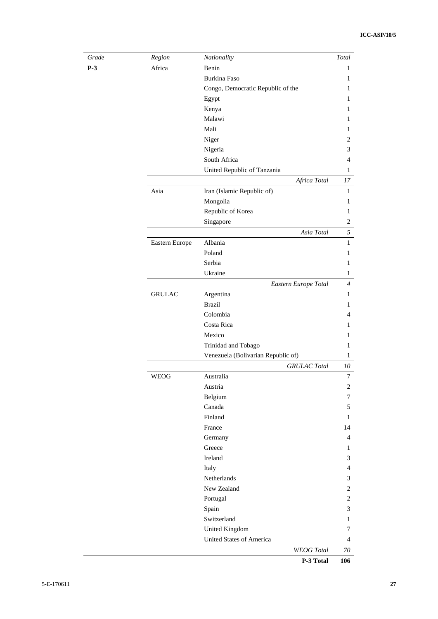| Grade | Region         | Nationality                                       | Total            |
|-------|----------------|---------------------------------------------------|------------------|
| $P-3$ | Africa         | Benin                                             | 1                |
|       |                | Burkina Faso                                      | 1                |
|       |                | Congo, Democratic Republic of the                 | 1                |
|       |                | Egypt                                             | 1                |
|       |                | Kenya                                             | 1                |
|       |                | Malawi                                            | 1                |
|       |                | Mali                                              | 1                |
|       |                | Niger                                             | 2                |
|       |                | Nigeria                                           | 3                |
|       |                | South Africa                                      | $\overline{4}$   |
|       |                | United Republic of Tanzania                       | $\mathbf{1}$     |
|       |                | Africa Total                                      | 17               |
|       | Asia           | Iran (Islamic Republic of)                        | $\mathbf{1}$     |
|       |                | Mongolia                                          | 1                |
|       |                | Republic of Korea                                 | 1                |
|       |                | Singapore                                         | $\boldsymbol{2}$ |
|       |                | Asia Total                                        | 5                |
|       | Eastern Europe | Albania                                           | $\mathbf{1}$     |
|       |                | Poland                                            | 1                |
|       |                | Serbia                                            | 1                |
|       |                | Ukraine                                           | $\mathbf{1}$     |
|       |                | Eastern Europe Total                              | $\overline{4}$   |
|       | <b>GRULAC</b>  | Argentina                                         | $\mathbf{1}$     |
|       |                | <b>Brazil</b>                                     | 1                |
|       |                | Colombia                                          | 4                |
|       |                | Costa Rica                                        | 1                |
|       |                | Mexico                                            | 1                |
|       |                | Trinidad and Tobago                               | 1                |
|       |                | Venezuela (Bolivarian Republic of)                | $\mathbf{1}$     |
|       |                | <b>GRULAC</b> Total                               | 10               |
|       | <b>WEOG</b>    | Australia                                         | $\boldsymbol{7}$ |
|       |                | Austria                                           | $\overline{2}$   |
|       |                | Belgium                                           | 7                |
|       |                | Canada                                            | 5                |
|       |                | Finland                                           | 1                |
|       |                | France                                            | 14               |
|       |                | Germany                                           | $\overline{4}$   |
|       |                | Greece                                            | 1                |
|       |                | Ireland                                           | 3                |
|       |                | Italy                                             | 4                |
|       |                | Netherlands                                       | 3                |
|       |                | New Zealand                                       | $\overline{c}$   |
|       |                | Portugal                                          | $\overline{c}$   |
|       |                | Spain                                             | 3                |
|       |                | Switzerland                                       |                  |
|       |                |                                                   | 1<br>7           |
|       |                | United Kingdom<br><b>United States of America</b> |                  |
|       |                |                                                   | 4                |
|       |                | <b>WEOG</b> Total                                 | 70               |
|       |                | P-3 Total                                         | 106              |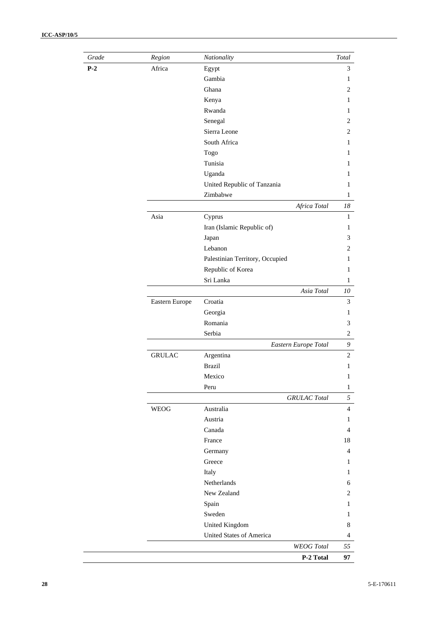| Grade | Region         | Nationality                     | Total          |
|-------|----------------|---------------------------------|----------------|
| $P-2$ | Africa         | Egypt                           | 3              |
|       |                | Gambia                          | 1              |
|       |                | Ghana                           | $\overline{c}$ |
|       |                | Kenya                           | 1              |
|       |                | Rwanda                          | 1              |
|       |                | Senegal                         | $\overline{c}$ |
|       |                | Sierra Leone                    | $\overline{c}$ |
|       |                | South Africa                    | 1              |
|       |                | Togo                            | 1              |
|       |                | Tunisia                         | 1              |
|       |                | Uganda                          | 1              |
|       |                | United Republic of Tanzania     | 1              |
|       |                | Zimbabwe                        | 1              |
|       |                | Africa Total                    | 18             |
|       | Asia           | Cyprus                          | $\mathbf{1}$   |
|       |                | Iran (Islamic Republic of)      | $\mathbf{1}$   |
|       |                | Japan                           | 3              |
|       |                | Lebanon                         | $\overline{c}$ |
|       |                | Palestinian Territory, Occupied | 1              |
|       |                | Republic of Korea               | 1              |
|       |                | Sri Lanka                       | $\mathbf{1}$   |
|       |                | Asia Total                      | $10\,$         |
|       | Eastern Europe | Croatia                         | 3              |
|       |                | Georgia                         | 1              |
|       |                | Romania                         | 3              |
|       |                | Serbia                          | $\overline{c}$ |
|       |                | Eastern Europe Total            | 9              |
|       | <b>GRULAC</b>  | Argentina                       | $\overline{c}$ |
|       |                | <b>Brazil</b>                   | 1              |
|       |                | Mexico                          | $\mathbf{1}$   |
|       |                |                                 |                |
|       |                | Peru                            | $\mathbf{1}$   |
|       |                | <b>GRULAC</b> Total             | 5              |
|       | <b>WEOG</b>    | Australia                       | $\overline{4}$ |
|       |                | Austria                         | 1              |
|       |                | Canada                          | 4              |
|       |                | France                          | 18             |
|       |                | Germany                         | 4              |
|       |                | Greece                          | 1              |
|       |                | Italy                           | 1              |
|       |                | Netherlands                     | 6              |
|       |                | New Zealand                     | 2              |
|       |                | Spain                           | 1              |
|       |                | Sweden                          | $\mathbf{1}$   |
|       |                | United Kingdom                  | 8              |
|       |                | United States of America        | $\overline{4}$ |
|       |                | <b>WEOG</b> Total               | 55             |
|       |                | P-2 Total                       | 97             |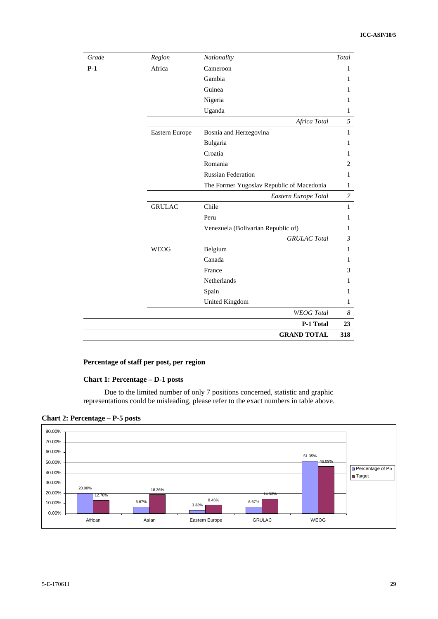| Grade | Region         | Nationality                               | Total        |
|-------|----------------|-------------------------------------------|--------------|
| $P-1$ | Africa         | Cameroon                                  | $\mathbf{1}$ |
|       |                | Gambia                                    | 1            |
|       |                | Guinea                                    | 1            |
|       |                | Nigeria                                   | 1            |
|       |                | Uganda                                    | 1            |
|       |                | Africa Total                              | 5            |
|       | Eastern Europe | Bosnia and Herzegovina                    | 1            |
|       |                | Bulgaria                                  | 1            |
|       |                | Croatia                                   | 1            |
|       |                | Romania                                   | 2            |
|       |                | <b>Russian Federation</b>                 | $\mathbf{1}$ |
|       |                | The Former Yugoslav Republic of Macedonia | 1            |
|       |                | Eastern Europe Total                      | 7            |
|       | <b>GRULAC</b>  | Chile                                     | $\mathbf{1}$ |
|       |                | Peru                                      | 1            |
|       |                | Venezuela (Bolivarian Republic of)        | 1            |
|       |                | <b>GRULAC</b> Total                       | 3            |
|       | <b>WEOG</b>    | Belgium                                   | $\mathbf{1}$ |
|       |                | Canada                                    | 1            |
|       |                | France                                    | 3            |
|       |                | Netherlands                               | 1            |
|       |                | Spain                                     | 1            |
|       |                | United Kingdom                            | 1            |
|       |                | <b>WEOG</b> Total                         | 8            |
|       |                | P-1 Total                                 | 23           |
|       |                | <b>GRAND TOTAL</b>                        | 318          |

# **Percentage of staff per post, per region**

### **Chart 1: Percentage – D-1 posts**

Due to the limited number of only 7 positions concerned, statistic and graphic representations could be misleading, please refer to the exact numbers in table above.

**Chart 2: Percentage – P-5 posts** 

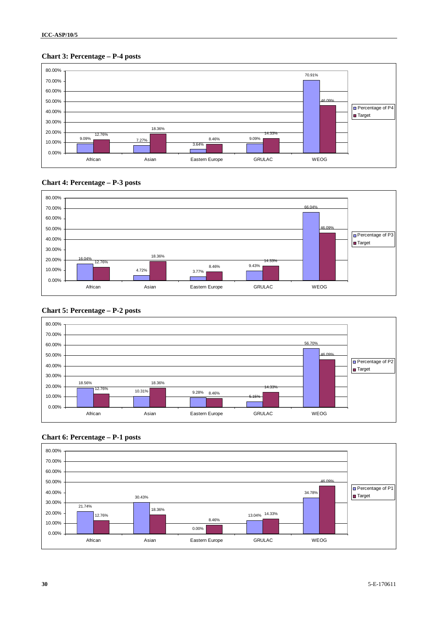# **Chart 3: Percentage – P-4 posts**









# **Chart 5: Percentage – P-2 posts**

# **Chart 6: Percentage – P-1 posts**

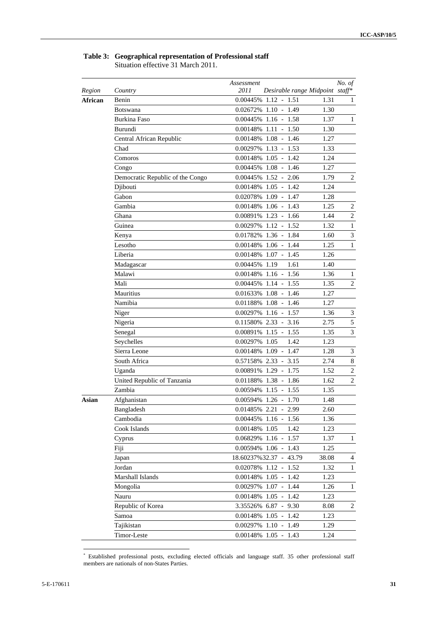# **Table 3: Geographical representation of Professional staff**

Situation effective 31 March 2011.

| Region  | Country                          | Assessment<br>2011 | Desirable range Midpoint staff* |       | No. of           |
|---------|----------------------------------|--------------------|---------------------------------|-------|------------------|
| African | Benin                            |                    | 0.00445% 1.12 - 1.51            | 1.31  | 1                |
|         | Botswana                         |                    | 0.02672% 1.10 - 1.49            | 1.30  |                  |
|         | Burkina Faso                     |                    | 0.00445% 1.16 - 1.58            | 1.37  | $\mathbf{1}$     |
|         | Burundi                          |                    | $0.00148\%$ 1.11 - 1.50         | 1.30  |                  |
|         | Central African Republic         |                    | $0.00148\%$ 1.08 - 1.46         | 1.27  |                  |
|         | Chad                             |                    | 0.00297% 1.13 - 1.53            | 1.33  |                  |
|         | Comoros                          |                    | $0.00148\%$ 1.05 - 1.42         | 1.24  |                  |
|         | Congo                            |                    | $0.00445\%$ 1.08 - 1.46         | 1.27  |                  |
|         | Democratic Republic of the Congo |                    | $0.00445\%$ 1.52 - 2.06         | 1.79  | 2                |
|         | Djibouti                         |                    | $0.00148\%$ 1.05 - 1.42         | 1.24  |                  |
|         | Gabon                            |                    | 0.02078% 1.09 - 1.47            | 1.28  |                  |
|         | Gambia                           |                    | $0.00148\%$ 1.06 - 1.43         | 1.25  | 2                |
|         | Ghana                            |                    | 0.00891% 1.23 - 1.66            | 1.44  | $\overline{c}$   |
|         | Guinea                           |                    | $0.00297\%$ 1.12 - 1.52         | 1.32  | $\mathbf{1}$     |
|         | Kenya                            |                    | 0.01782% 1.36 - 1.84            | 1.60  | $\mathfrak{Z}$   |
|         | Lesotho                          |                    | 0.00148% 1.06 - 1.44            | 1.25  | 1                |
|         | Liberia                          |                    | 0.00148% 1.07 - 1.45            | 1.26  |                  |
|         | Madagascar                       | 0.00445% 1.19      | 1.61                            | 1.40  |                  |
|         | Malawi                           |                    | $0.00148\%$ 1.16 - 1.56         | 1.36  | $\mathbf{1}$     |
|         | Mali                             |                    | $0.00445\%$ 1.14 - 1.55         | 1.35  | $\boldsymbol{2}$ |
|         | Mauritius                        |                    | 0.01633% 1.08 - 1.46            | 1.27  |                  |
|         | Namibia                          |                    | 0.01188% 1.08 - 1.46            | 1.27  |                  |
|         | Niger                            |                    | 0.00297% 1.16 - 1.57            | 1.36  | 3                |
|         | Nigeria                          |                    | 0.11580% 2.33 - 3.16            | 2.75  | $\mathfrak s$    |
|         | Senegal                          |                    | 0.00891% 1.15 - 1.55            | 1.35  | 3                |
|         | Seychelles                       | 0.00297% 1.05      | 1.42                            | 1.23  |                  |
|         | Sierra Leone                     |                    | 0.00148% 1.09 - 1.47            | 1.28  | 3                |
|         | South Africa                     |                    | 0.57158% 2.33 - 3.15            | 2.74  | 8                |
|         | Uganda                           |                    | $0.00891\%$ 1.29 - 1.75         | 1.52  | $\overline{c}$   |
|         | United Republic of Tanzania      |                    | $0.01188\%$ 1.38 - 1.86         | 1.62  | 2                |
|         | Zambia                           |                    | 0.00594% 1.15 - 1.55            | 1.35  |                  |
| Asian   | Afghanistan                      |                    | 0.00594% 1.26 - 1.70            | 1.48  |                  |
|         | Bangladesh                       |                    | 0.01485% 2.21 - 2.99            | 2.60  |                  |
|         | Cambodia                         |                    | $0.00445\%$ 1.16 - 1.56         | 1.36  |                  |
|         | Cook Islands                     | 0.00148% 1.05      | 1.42                            | 1.23  |                  |
|         | Cyprus                           |                    | 0.06829% 1.16 - 1.57            | 1.37  | $\mathbf{1}$     |
|         | Fiji                             |                    | 0.00594% 1.06 - 1.43            | 1.25  |                  |
|         | Japan                            |                    | 18.60237%32.37 - 43.79          | 38.08 | 4                |
|         | Jordan                           | 0.02078% 1.12 -    | 1.52                            | 1.32  | $\mathbf{1}$     |
|         | Marshall Islands                 |                    | $0.00148\%$ 1.05 - 1.42         | 1.23  |                  |
|         | Mongolia                         |                    | 0.00297% 1.07 - 1.44            | 1.26  | $\mathbf{1}$     |
|         | Nauru                            |                    | $0.00148\%$ 1.05 - 1.42         | 1.23  |                  |
|         | Republic of Korea                |                    | 3.35526% 6.87 - 9.30            | 8.08  | 2                |
|         | Samoa                            |                    | $0.00148\%$ 1.05 - 1.42         | 1.23  |                  |
|         | Tajikistan                       |                    | 0.00297% 1.10 - 1.49            | 1.29  |                  |
|         | Timor-Leste                      |                    | $0.00148\%$ 1.05 - 1.43         | 1.24  |                  |
|         |                                  |                    |                                 |       |                  |

 \* Established professional posts, excluding elected officials and language staff. 35 other professional staff members are nationals of non-States Parties.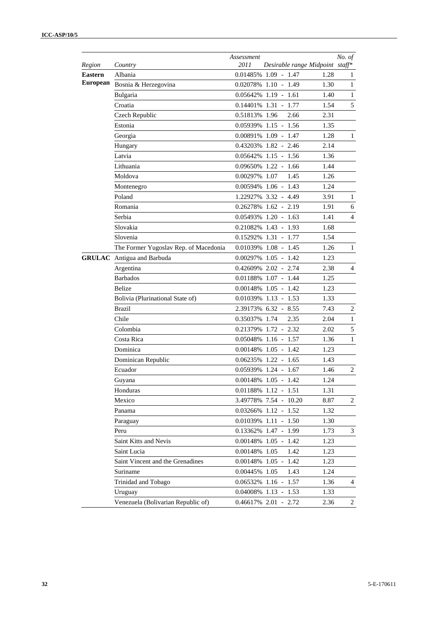| Region          | Country                               | Assessment<br>2011 | Desirable range Midpoint staff* |      | No. of         |
|-----------------|---------------------------------------|--------------------|---------------------------------|------|----------------|
| <b>Eastern</b>  | Albania                               |                    | 0.01485% 1.09 - 1.47            | 1.28 | $\mathbf{1}$   |
| <b>European</b> | Bosnia & Herzegovina                  |                    | 0.02078% 1.10 - 1.49            | 1.30 | $\mathbf{1}$   |
|                 | Bulgaria                              |                    | $0.05642\%$ 1.19 - 1.61         | 1.40 | $\mathbf{1}$   |
|                 | Croatia                               |                    | $0.14401\%$ 1.31 - 1.77         | 1.54 | 5              |
|                 | Czech Republic                        | 0.51813% 1.96      | 2.66                            | 2.31 |                |
|                 | Estonia                               |                    | 0.05939% 1.15 - 1.56            | 1.35 |                |
|                 | Georgia                               |                    | 0.00891% 1.09 - 1.47            | 1.28 | $\mathbf{1}$   |
|                 | Hungary                               |                    | 0.43203% 1.82 - 2.46            | 2.14 |                |
|                 | Latvia                                |                    | $0.05642\%$ 1.15 - 1.56         | 1.36 |                |
|                 | Lithuania                             |                    | $0.09650\%$ 1.22 - 1.66         | 1.44 |                |
|                 | Moldova                               | 0.00297% 1.07      | 1.45                            | 1.26 |                |
|                 | Montenegro                            |                    | 0.00594% 1.06 - 1.43            | 1.24 |                |
|                 | Poland                                |                    | 1.22927% 3.32 - 4.49            | 3.91 | $\mathbf{1}$   |
|                 | Romania                               |                    | 0.26278% 1.62 - 2.19            | 1.91 | 6              |
|                 | Serbia                                |                    | $0.05493\%$ 1.20 - 1.63         | 1.41 | $\overline{4}$ |
|                 | Slovakia                              |                    | 0.21082% 1.43 - 1.93            | 1.68 |                |
|                 | Slovenia                              |                    | $0.15292\%$ 1.31 - 1.77         | 1.54 |                |
|                 | The Former Yugoslav Rep. of Macedonia |                    | $0.01039\%$ 1.08 - 1.45         | 1.26 | $\mathbf{1}$   |
|                 | <b>GRULAC</b> Antigua and Barbuda     |                    | $0.00297\%$ 1.05 - 1.42         | 1.23 |                |
|                 | Argentina                             |                    | 0.42609% 2.02 - 2.74            | 2.38 | 4              |
|                 | <b>Barbados</b>                       |                    | 0.01188% 1.07 - 1.44            | 1.25 |                |
|                 | <b>Belize</b>                         |                    | 0.00148% 1.05 - 1.42            | 1.23 |                |
|                 | Bolivia (Plurinational State of)      |                    | $0.01039\%$ 1.13 - 1.53         | 1.33 |                |
|                 | <b>Brazil</b>                         |                    | 2.39173% 6.32 - 8.55            | 7.43 | $\overline{c}$ |
|                 | Chile                                 | 0.35037% 1.74      | 2.35                            | 2.04 | $\mathbf{1}$   |
|                 | Colombia                              |                    | 0.21379% 1.72 - 2.32            | 2.02 | $\mathfrak{S}$ |
|                 | Costa Rica                            |                    | 0.05048% 1.16 - 1.57            | 1.36 | $\mathbf{1}$   |
|                 | Dominica                              |                    | $0.00148\%$ 1.05 - 1.42         | 1.23 |                |
|                 | Dominican Republic                    |                    | $0.06235\%$ 1.22 - 1.65         | 1.43 |                |
|                 | Ecuador                               |                    | 0.05939% 1.24 - 1.67            | 1.46 | 2              |
|                 | Guyana                                |                    | $0.00148\%$ 1.05 - 1.42         | 1.24 |                |
|                 | Honduras                              |                    | $0.01188\%$ 1.12 - 1.51         | 1.31 |                |
|                 | Mexico                                |                    | 3.49778% 7.54 - 10.20           | 8.87 | 2              |
|                 | Panama                                |                    | 0.03266% 1.12 - 1.52            | 1.32 |                |
|                 | Paraguay                              |                    | 0.01039% 1.11 - 1.50            | 1.30 |                |
|                 | Peru                                  |                    | 0.13362% 1.47 - 1.99            | 1.73 | 3              |
|                 | Saint Kitts and Nevis                 |                    | $0.00148\%$ 1.05 - 1.42         | 1.23 |                |
|                 | Saint Lucia                           | 0.00148% 1.05      | 1.42                            | 1.23 |                |
|                 | Saint Vincent and the Grenadines      |                    | $0.00148\%$ 1.05 - 1.42         | 1.23 |                |
|                 | Suriname                              | 0.00445% 1.05      | 1.43                            | 1.24 |                |
|                 | Trinidad and Tobago                   |                    | $0.06532\%$ 1.16 - 1.57         | 1.36 | 4              |
|                 | Uruguay                               |                    | 0.04008% 1.13 - 1.53            | 1.33 |                |
|                 | Venezuela (Bolivarian Republic of)    |                    | 0.46617% 2.01 - 2.72            | 2.36 | 2              |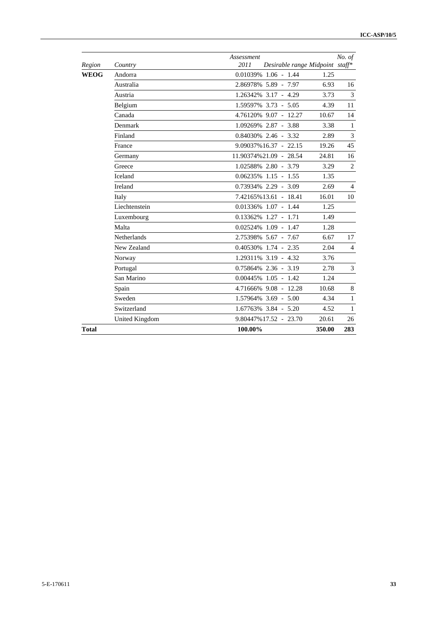|        |                       | Assessment                              |        | No. of         |
|--------|-----------------------|-----------------------------------------|--------|----------------|
| Region | Country               | 2011<br>Desirable range Midpoint staff* |        |                |
| WEOG   | Andorra               | $0.01039\%$ 1.06 - 1.44                 | 1.25   |                |
|        | Australia             | 2.86978% 5.89 - 7.97                    | 6.93   | 16             |
|        | Austria               | 1.26342% 3.17 - 4.29                    | 3.73   | 3              |
|        | Belgium               | 1.59597% 3.73 - 5.05                    | 4.39   | 11             |
|        | Canada                | 4.76120% 9.07 - 12.27                   | 10.67  | 14             |
|        | Denmark               | 1.09269% 2.87 - 3.88                    | 3.38   | $\mathbf{1}$   |
|        | Finland               | 0.84030% 2.46 - 3.32                    | 2.89   | $\mathfrak{Z}$ |
|        | France                | $9.09037\%16.37 - 22.15$                | 19.26  | 45             |
|        | Germany               | 11.90374%21.09 - 28.54                  | 24.81  | 16             |
|        | Greece                | 1.02588% 2.80 - 3.79                    | 3.29   | $\overline{2}$ |
|        | Iceland               | $0.06235\%$ 1.15 - 1.55                 | 1.35   |                |
|        | Ireland               | 0.73934% 2.29 - 3.09                    | 2.69   | $\overline{4}$ |
|        | Italy                 | 7.42165%13.61 - 18.41                   | 16.01  | 10             |
|        | Liechtenstein         | $0.01336\%$ 1.07 - 1.44                 | 1.25   |                |
|        | Luxembourg            | $0.13362\%$ 1.27 - 1.71                 | 1.49   |                |
|        | Malta                 | $0.02524\%$ 1.09 - 1.47                 | 1.28   |                |
|        | <b>Netherlands</b>    | 2.75398% 5.67 - 7.67                    | 6.67   | 17             |
|        | New Zealand           | $0.40530\%$ 1.74 - 2.35                 | 2.04   | $\overline{4}$ |
|        | Norway                | 1.29311% 3.19 - 4.32                    | 3.76   |                |
|        | Portugal              | 0.75864% 2.36 - 3.19                    | 2.78   | 3              |
|        | San Marino            | $0.00445\%$ 1.05 - 1.42                 | 1.24   |                |
|        | Spain                 | 4.71666% 9.08 - 12.28                   | 10.68  | 8              |
|        | Sweden                | 1.57964% 3.69 - 5.00                    | 4.34   | $\mathbf{1}$   |
|        | Switzerland           | 1.67763% 3.84 - 5.20                    | 4.52   | $\mathbf{1}$   |
|        | <b>United Kingdom</b> | 9.80447%17.52 - 23.70                   | 20.61  | 26             |
| Total  |                       | 100.00%                                 | 350.00 | 283            |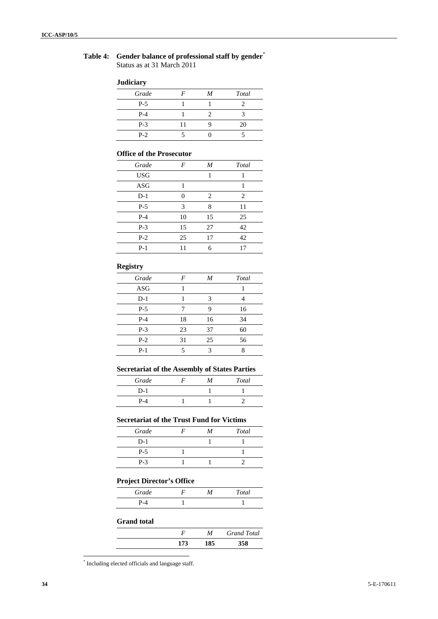# **Table 4: Gender balance of professional staff by gender**\* Status as at 31 March 2011

#### **Judiciary**

| Grade | F  | M | Total |
|-------|----|---|-------|
| $P-5$ |    |   |       |
| $P-4$ |    |   |       |
| $P-3$ | 11 |   | 20    |
| $P-2$ |    |   |       |

## **Office of the Prosecutor**

| Grade      | F  | M  | Total |
|------------|----|----|-------|
| <b>USG</b> |    | 1  |       |
| ASG        |    |    |       |
| $D-1$      | 0  | 2  | 2     |
| $P-5$      | 3  | 8  | 11    |
| $P-4$      | 10 | 15 | 25    |
| $P-3$      | 15 | 27 | 42    |
| $P-2$      | 25 | 17 | 42    |
| $P-1$      | 11 | 6  | 17    |

# **Registry**

| Grade      | F  | M  | Total |
|------------|----|----|-------|
| <b>ASG</b> |    |    |       |
| $D-1$      |    | 3  |       |
| $P-5$      | 7  | 9  | 16    |
| $P-4$      | 18 | 16 | 34    |
| $P-3$      | 23 | 37 | 60    |
| $P-2$      | 31 | 25 | 56    |
| $P-1$      | 5  | 3  | Q     |

# **Secretariat of the Assembly of States Parties**

| Grade | M | Total |
|-------|---|-------|
| $D-1$ |   |       |
| $P-4$ |   |       |

# **Secretariat of the Trust Fund for Victims**

| Grade | M | <b>Total</b> |
|-------|---|--------------|
| $D-1$ |   |              |
| $P-5$ |   |              |
| $P-3$ |   |              |

# **Project Director's Office**

|       | ____ |       |
|-------|------|-------|
| Grade |      | Total |
| P-4   |      |       |

## **Grand total**

|     | М   | <b>Grand Total</b> |
|-----|-----|--------------------|
| 173 | 185 | 358                |

<sup>\*</sup> Including elected officials and language staff.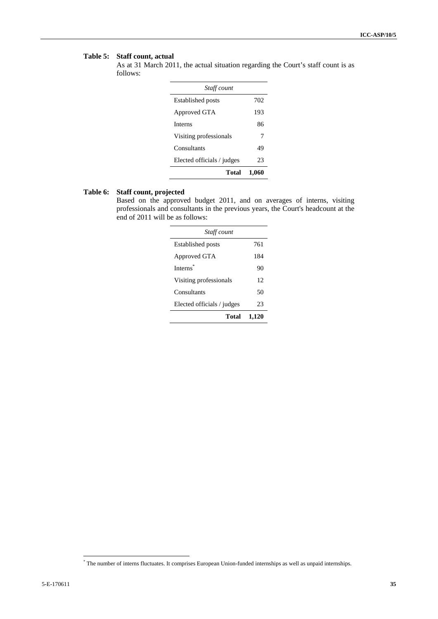# **Table 5: Staff count, actual**

As at 31 March 2011, the actual situation regarding the Court's staff count is as follows:

| Staff count                |       |
|----------------------------|-------|
| <b>Established posts</b>   | 702   |
| Approved GTA               | 193   |
| <b>Interns</b>             | 86    |
| Visiting professionals     | 7     |
| Consultants                | 49    |
| Elected officials / judges | 23    |
| Total                      | 1,060 |

# **Table 6: Staff count, projected**

Based on the approved budget 2011, and on averages of interns, visiting professionals and consultants in the previous years, the Court's headcount at the end of 2011 will be as follows:

| Staff count                |       |
|----------------------------|-------|
| <b>Established posts</b>   | 761   |
| Approved GTA               | 184   |
| Interns <sup>*</sup>       | 90    |
| Visiting professionals     | 12    |
| Consultants                | 50    |
| Elected officials / judges | 23    |
| Total                      | 1.120 |

<sup>\*</sup> The number of interns fluctuates. It comprises European Union-funded internships as well as unpaid internships.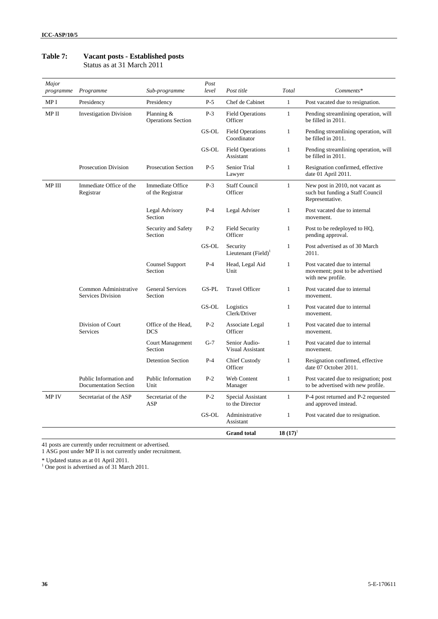| Major<br>programme | Programme                                         | Sub-programme                               | Post<br>level | Post title                             | Total        | Comments*                                                                              |
|--------------------|---------------------------------------------------|---------------------------------------------|---------------|----------------------------------------|--------------|----------------------------------------------------------------------------------------|
| MP I               | Presidency                                        | Presidency                                  | $P-5$         | Chef de Cabinet                        | $\mathbf{1}$ | Post vacated due to resignation.                                                       |
| MP II              | <b>Investigation Division</b>                     | Planning $&$<br><b>Operations Section</b>   | $P-3$         | <b>Field Operations</b><br>Officer     | $\mathbf{1}$ | Pending streamlining operation, will<br>be filled in 2011.                             |
|                    |                                                   |                                             | GS-OL         | <b>Field Operations</b><br>Coordinator | $\mathbf{1}$ | Pending streamlining operation, will<br>be filled in 2011.                             |
|                    |                                                   |                                             | GS-OL         | <b>Field Operations</b><br>Assistant   | $\mathbf{1}$ | Pending streamlining operation, will<br>be filled in 2011.                             |
|                    | <b>Prosecution Division</b>                       | <b>Prosecution Section</b>                  | $P-5$         | Senior Trial<br>Lawyer                 | $\mathbf{1}$ | Resignation confirmed, effective<br>date 01 April 2011.                                |
| MP III             | Immediate Office of the<br>Registrar              | <b>Immediate Office</b><br>of the Registrar | $P-3$         | <b>Staff Council</b><br>Officer        | $\mathbf{1}$ | New post in 2010, not vacant as<br>such but funding a Staff Council<br>Representative. |
|                    |                                                   | Legal Advisory<br>Section                   | $P-4$         | Legal Adviser                          | $\mathbf{1}$ | Post vacated due to internal<br>movement.                                              |
|                    |                                                   | Security and Safety<br>Section              | $P-2$         | <b>Field Security</b><br>Officer       | $\mathbf{1}$ | Post to be redeployed to HQ,<br>pending approval.                                      |
|                    |                                                   |                                             | GS-OL         | Security<br>Lieutenant (Field) $1$     | $\mathbf{1}$ | Post advertised as of 30 March<br>2011.                                                |
|                    |                                                   | Counsel Support<br>Section                  | $P-4$         | Head, Legal Aid<br>Unit                | $\mathbf{1}$ | Post vacated due to internal<br>movement; post to be advertised<br>with new profile.   |
|                    | Common Administrative<br><b>Services Division</b> | <b>General Services</b><br>Section          | GS-PL         | <b>Travel Officer</b>                  | 1            | Post vacated due to internal<br>movement.                                              |
|                    |                                                   |                                             | GS-OL         | Logistics<br>Clerk/Driver              | $\mathbf{1}$ | Post vacated due to internal<br>movement.                                              |
|                    | Division of Court<br><b>Services</b>              | Office of the Head,<br><b>DCS</b>           | $P-2$         | Associate Legal<br>Officer             | $\mathbf{1}$ | Post vacated due to internal<br>movement.                                              |
|                    |                                                   | <b>Court Management</b><br>Section          | $G-7$         | Senior Audio-<br>Visual Assistant      | 1            | Post vacated due to internal<br>movement.                                              |
|                    |                                                   | <b>Detention Section</b>                    | $P-4$         | <b>Chief Custody</b><br>Officer        | $\mathbf{1}$ | Resignation confirmed, effective<br>date 07 October 2011.                              |
|                    | Public Information and<br>Documentation Section   | Public Information<br>Unit                  | $P-2$         | Web Content<br>Manager                 | $\mathbf{1}$ | Post vacated due to resignation; post<br>to be advertised with new profile.            |
| <b>MPIV</b>        | Secretariat of the ASP                            | Secretariat of the<br>ASP                   | $P-2$         | Special Assistant<br>to the Director   | $\mathbf{1}$ | P-4 post returned and P-2 requested<br>and approved instead.                           |
|                    |                                                   |                                             | GS-OL         | Administrative<br>Assistant            | 1            | Post vacated due to resignation.                                                       |
|                    |                                                   |                                             |               | <b>Grand</b> total                     | $18(17)^1$   |                                                                                        |

# **Table 7: Vacant posts - Established posts**

Status as at 31 March 2011

41 posts are currently under recruitment or advertised.

1 ASG post under MP II is not currently under recruitment.

\* Updated status as at 01 April 2011. 1 One post is advertised as of 31 March 2011.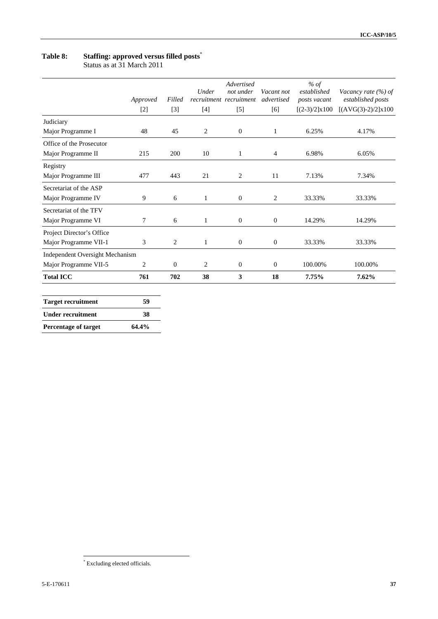# **Table 8: Staffing: approved versus filled posts**\*

Status as at 31 March 2011

|                                        | Approved<br>$[2]$ | Filled<br>$[3]$ | Under<br>$[4]$ | Advertised<br>not under<br>recruitment recruitment<br>$[5]$ | Vacant not<br>advertised<br>[6] | $%$ of<br>established<br>posts vacant<br>$[(2-3)/2] \times 100$ | Vacancy rate (%) of<br>established posts<br>$[(AVG(3)-2)/2] \times 100$ |
|----------------------------------------|-------------------|-----------------|----------------|-------------------------------------------------------------|---------------------------------|-----------------------------------------------------------------|-------------------------------------------------------------------------|
| Judiciary                              |                   |                 |                |                                                             |                                 |                                                                 |                                                                         |
| Major Programme I                      | 48                | 45              | 2              | $\mathbf{0}$                                                | 1                               | 6.25%                                                           | 4.17%                                                                   |
| Office of the Prosecutor               |                   |                 |                |                                                             |                                 |                                                                 |                                                                         |
| Major Programme II                     | 215               | 200             | 10             | $\mathbf{1}$                                                | $\overline{4}$                  | 6.98%                                                           | 6.05%                                                                   |
| Registry                               |                   |                 |                |                                                             |                                 |                                                                 |                                                                         |
| Major Programme III                    | 477               | 443             | 21             | 2                                                           | 11                              | 7.13%                                                           | 7.34%                                                                   |
| Secretariat of the ASP                 |                   |                 |                |                                                             |                                 |                                                                 |                                                                         |
| Major Programme IV                     | 9                 | 6               | $\mathbf{1}$   | $\boldsymbol{0}$                                            | 2                               | 33.33%                                                          | 33.33%                                                                  |
| Secretariat of the TFV                 |                   |                 |                |                                                             |                                 |                                                                 |                                                                         |
| Major Programme VI                     | 7                 | 6               | $\mathbf{1}$   | $\boldsymbol{0}$                                            | $\mathbf{0}$                    | 14.29%                                                          | 14.29%                                                                  |
| Project Director's Office              |                   |                 |                |                                                             |                                 |                                                                 |                                                                         |
| Major Programme VII-1                  | 3                 | 2               | $\mathbf{1}$   | $\boldsymbol{0}$                                            | $\boldsymbol{0}$                | 33.33%                                                          | 33.33%                                                                  |
| <b>Independent Oversight Mechanism</b> |                   |                 |                |                                                             |                                 |                                                                 |                                                                         |
| Major Programme VII-5                  | 2                 | $\overline{0}$  | 2              | $\mathbf{0}$                                                | $\mathbf{0}$                    | 100.00%                                                         | 100.00%                                                                 |
| <b>Total ICC</b>                       | 761               | 702             | 38             | 3                                                           | 18                              | 7.75%                                                           | 7.62%                                                                   |
| <b>Target recruitment</b>              | 59                |                 |                |                                                             |                                 |                                                                 |                                                                         |
| <b>Under recruitment</b>               | 38                |                 |                |                                                             |                                 |                                                                 |                                                                         |

**Percentage of target 64.4%** 

 \* Excluding elected officials.